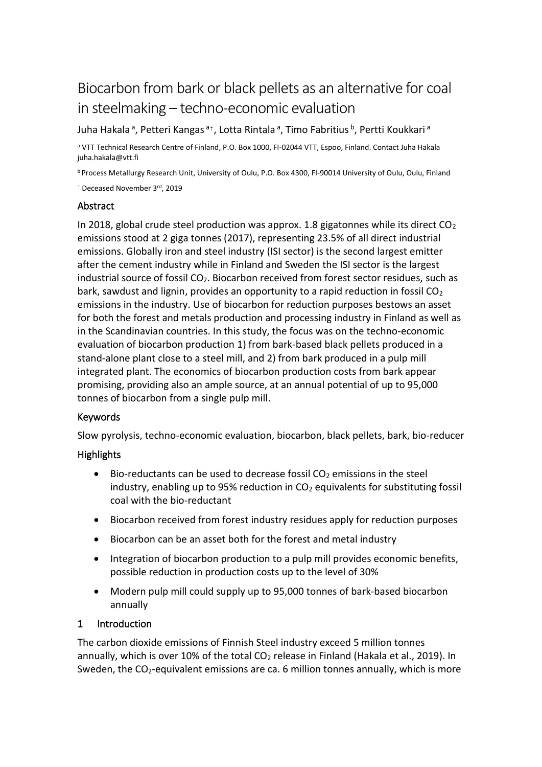# Biocarbon from bark or black pellets as an alternative for coal in steelmaking – techno-economic evaluation

Juha Hakala<sup>a</sup>, Petteri Kangas<sup>a†</sup>, Lotta Rintala<sup>a</sup>, Timo Fabritius <sup>b</sup>, Pertti Koukkari <sup>a</sup>

<sup>a</sup> VTT Technical Research Centre of Finland, P.O. Box 1000, FI-02044 VTT, Espoo, Finland. Contact Juha Hakala juha.hakala@vtt.fi

<sup>b</sup> Process Metallurgy Research Unit, University of Oulu, P.O. Box 4300, FI-90014 University of Oulu, Oulu, Finland

<sup>†</sup> Deceased November 3<sup>rd</sup>, 2019

#### Abstract

In 2018, global crude steel production was approx. 1.8 gigatonnes while its direct  $CO<sub>2</sub>$ emissions stood at 2 giga tonnes (2017), representing 23.5% of all direct industrial emissions. Globally iron and steel industry (ISI sector) is the second largest emitter after the cement industry while in Finland and Sweden the ISI sector is the largest industrial source of fossil  $CO<sub>2</sub>$ . Biocarbon received from forest sector residues, such as bark, sawdust and lignin, provides an opportunity to a rapid reduction in fossil  $CO<sub>2</sub>$ emissions in the industry. Use of biocarbon for reduction purposes bestows an asset for both the forest and metals production and processing industry in Finland as well as in the Scandinavian countries. In this study, the focus was on the techno-economic evaluation of biocarbon production 1) from bark-based black pellets produced in a stand-alone plant close to a steel mill, and 2) from bark produced in a pulp mill integrated plant. The economics of biocarbon production costs from bark appear promising, providing also an ample source, at an annual potential of up to 95,000 tonnes of biocarbon from a single pulp mill.

#### Keywords

Slow pyrolysis, techno-economic evaluation, biocarbon, black pellets, bark, bio-reducer

#### **Highlights**

- Bio-reductants can be used to decrease fossil  $CO<sub>2</sub>$  emissions in the steel industry, enabling up to 95% reduction in  $CO<sub>2</sub>$  equivalents for substituting fossil coal with the bio-reductant
- Biocarbon received from forest industry residues apply for reduction purposes
- Biocarbon can be an asset both for the forest and metal industry
- Integration of biocarbon production to a pulp mill provides economic benefits, possible reduction in production costs up to the level of 30%
- Modern pulp mill could supply up to 95,000 tonnes of bark-based biocarbon annually

#### 1 Introduction

The carbon dioxide emissions of Finnish Steel industry exceed 5 million tonnes annually, which is over 10% of the total  $CO<sub>2</sub>$  release in Finland (Hakala et al., 2019). In Sweden, the  $CO<sub>2</sub>$ -equivalent emissions are ca. 6 million tonnes annually, which is more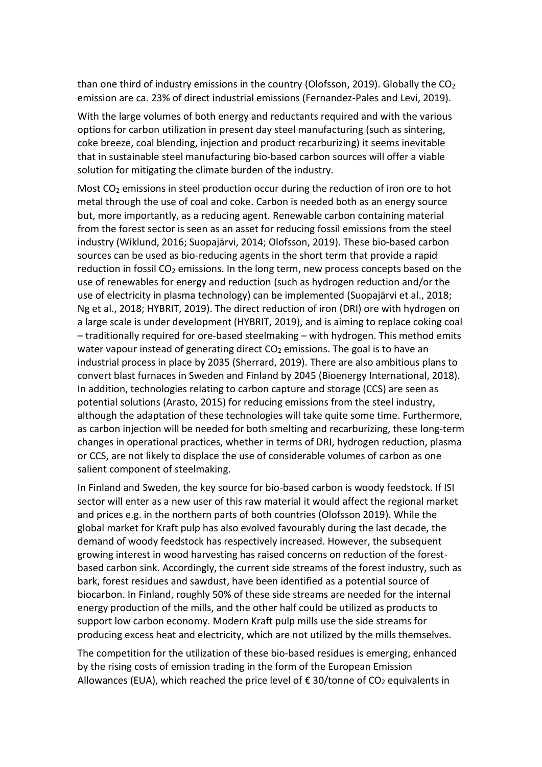than one third of industry emissions in the country (Olofsson, 2019). Globally the  $CO<sub>2</sub>$ emission are ca. 23% of direct industrial emissions (Fernandez-Pales and Levi, 2019).

With the large volumes of both energy and reductants required and with the various options for carbon utilization in present day steel manufacturing (such as sintering, coke breeze, coal blending, injection and product recarburizing) it seems inevitable that in sustainable steel manufacturing bio-based carbon sources will offer a viable solution for mitigating the climate burden of the industry.

Most CO<sup>2</sup> emissions in steel production occur during the reduction of iron ore to hot metal through the use of coal and coke. Carbon is needed both as an energy source but, more importantly, as a reducing agent. Renewable carbon containing material from the forest sector is seen as an asset for reducing fossil emissions from the steel industry (Wiklund, 2016; Suopajärvi, 2014; Olofsson, 2019). These bio-based carbon sources can be used as bio-reducing agents in the short term that provide a rapid reduction in fossil  $CO<sub>2</sub>$  emissions. In the long term, new process concepts based on the use of renewables for energy and reduction (such as hydrogen reduction and/or the use of electricity in plasma technology) can be implemented (Suopajärvi et al., 2018; Ng et al., 2018; HYBRIT, 2019). The direct reduction of iron (DRI) ore with hydrogen on a large scale is under development (HYBRIT, 2019), and is aiming to replace coking coal – traditionally required for ore-based steelmaking – with hydrogen. This method emits water vapour instead of generating direct  $CO<sub>2</sub>$  emissions. The goal is to have an industrial process in place by 2035 (Sherrard, 2019). There are also ambitious plans to convert blast furnaces in Sweden and Finland by 2045 (Bioenergy International, 2018). In addition, technologies relating to carbon capture and storage (CCS) are seen as potential solutions (Arasto, 2015) for reducing emissions from the steel industry, although the adaptation of these technologies will take quite some time. Furthermore, as carbon injection will be needed for both smelting and recarburizing, these long-term changes in operational practices, whether in terms of DRI, hydrogen reduction, plasma or CCS, are not likely to displace the use of considerable volumes of carbon as one salient component of steelmaking.

In Finland and Sweden, the key source for bio-based carbon is woody feedstock. If ISI sector will enter as a new user of this raw material it would affect the regional market and prices e.g. in the northern parts of both countries (Olofsson 2019). While the global market for Kraft pulp has also evolved favourably during the last decade, the demand of woody feedstock has respectively increased. However, the subsequent growing interest in wood harvesting has raised concerns on reduction of the forestbased carbon sink. Accordingly, the current side streams of the forest industry, such as bark, forest residues and sawdust, have been identified as a potential source of biocarbon. In Finland, roughly 50% of these side streams are needed for the internal energy production of the mills, and the other half could be utilized as products to support low carbon economy. Modern Kraft pulp mills use the side streams for producing excess heat and electricity, which are not utilized by the mills themselves.

The competition for the utilization of these bio-based residues is emerging, enhanced by the rising costs of emission trading in the form of the European Emission Allowances (EUA), which reached the price level of  $\epsilon$  30/tonne of CO<sub>2</sub> equivalents in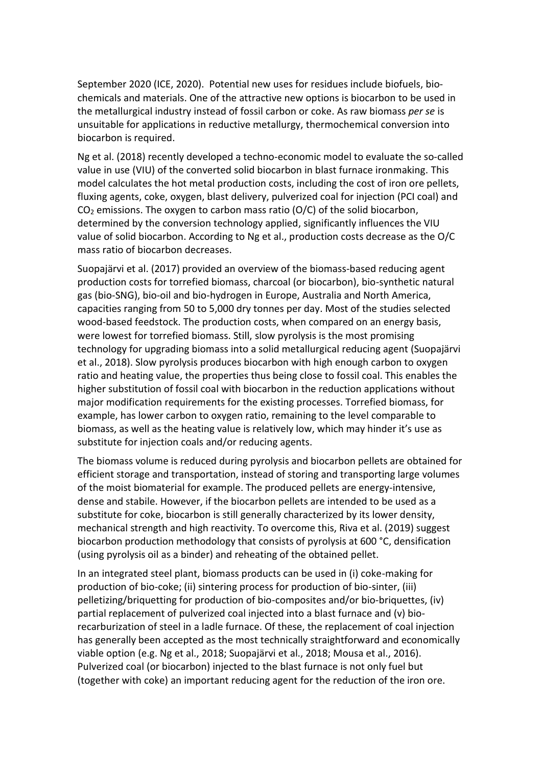September 2020 (ICE, 2020). Potential new uses for residues include biofuels, biochemicals and materials. One of the attractive new options is biocarbon to be used in the metallurgical industry instead of fossil carbon or coke. As raw biomass *per se* is unsuitable for applications in reductive metallurgy, thermochemical conversion into biocarbon is required.

Ng et al. (2018) recently developed a techno-economic model to evaluate the so-called value in use (VIU) of the converted solid biocarbon in blast furnace ironmaking. This model calculates the hot metal production costs, including the cost of iron ore pellets, fluxing agents, coke, oxygen, blast delivery, pulverized coal for injection (PCI coal) and CO<sup>2</sup> emissions. The oxygen to carbon mass ratio (O/C) of the solid biocarbon, determined by the conversion technology applied, significantly influences the VIU value of solid biocarbon. According to Ng et al., production costs decrease as the O/C mass ratio of biocarbon decreases.

Suopajärvi et al. (2017) provided an overview of the biomass-based reducing agent production costs for torrefied biomass, charcoal (or biocarbon), bio-synthetic natural gas (bio-SNG), bio-oil and bio-hydrogen in Europe, Australia and North America, capacities ranging from 50 to 5,000 dry tonnes per day. Most of the studies selected wood-based feedstock. The production costs, when compared on an energy basis, were lowest for torrefied biomass. Still, slow pyrolysis is the most promising technology for upgrading biomass into a solid metallurgical reducing agent (Suopajärvi et al., 2018). Slow pyrolysis produces biocarbon with high enough carbon to oxygen ratio and heating value, the properties thus being close to fossil coal. This enables the higher substitution of fossil coal with biocarbon in the reduction applications without major modification requirements for the existing processes. Torrefied biomass, for example, has lower carbon to oxygen ratio, remaining to the level comparable to biomass, as well as the heating value is relatively low, which may hinder it's use as substitute for injection coals and/or reducing agents.

The biomass volume is reduced during pyrolysis and biocarbon pellets are obtained for efficient storage and transportation, instead of storing and transporting large volumes of the moist biomaterial for example. The produced pellets are energy-intensive, dense and stabile. However, if the biocarbon pellets are intended to be used as a substitute for coke, biocarbon is still generally characterized by its lower density, mechanical strength and high reactivity. To overcome this, Riva et al. (2019) suggest biocarbon production methodology that consists of pyrolysis at 600 °C, densification (using pyrolysis oil as a binder) and reheating of the obtained pellet.

In an integrated steel plant, biomass products can be used in (i) coke-making for production of bio-coke; (ii) sintering process for production of bio-sinter, (iii) pelletizing/briquetting for production of bio-composites and/or bio-briquettes, (iv) partial replacement of pulverized coal injected into a blast furnace and (v) biorecarburization of steel in a ladle furnace. Of these, the replacement of coal injection has generally been accepted as the most technically straightforward and economically viable option (e.g. Ng et al., 2018; Suopajärvi et al., 2018; Mousa et al., 2016). Pulverized coal (or biocarbon) injected to the blast furnace is not only fuel but (together with coke) an important reducing agent for the reduction of the iron ore.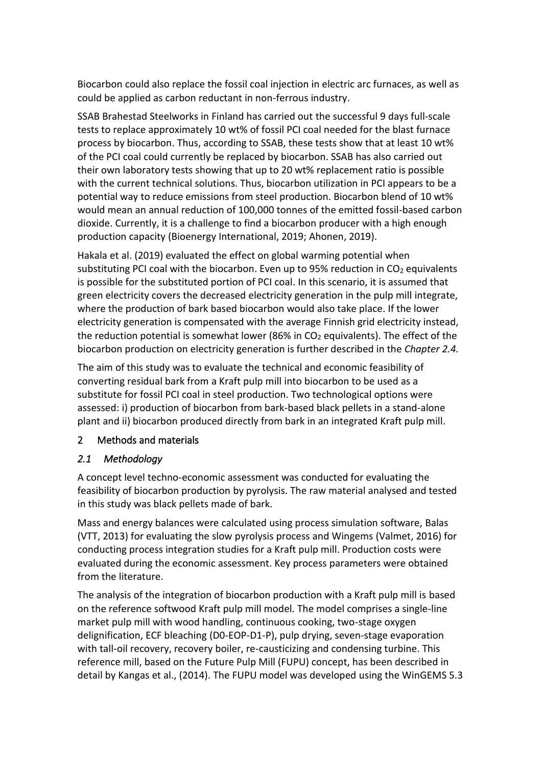Biocarbon could also replace the fossil coal injection in electric arc furnaces, as well as could be applied as carbon reductant in non-ferrous industry.

SSAB Brahestad Steelworks in Finland has carried out the successful 9 days full-scale tests to replace approximately 10 wt% of fossil PCI coal needed for the blast furnace process by biocarbon. Thus, according to SSAB, these tests show that at least 10 wt% of the PCI coal could currently be replaced by biocarbon. SSAB has also carried out their own laboratory tests showing that up to 20 wt% replacement ratio is possible with the current technical solutions. Thus, biocarbon utilization in PCI appears to be a potential way to reduce emissions from steel production. Biocarbon blend of 10 wt% would mean an annual reduction of 100,000 tonnes of the emitted fossil-based carbon dioxide. Currently, it is a challenge to find a biocarbon producer with a high enough production capacity (Bioenergy International, 2019; Ahonen, 2019).

Hakala et al. (2019) evaluated the effect on global warming potential when substituting PCI coal with the biocarbon. Even up to 95% reduction in  $CO<sub>2</sub>$  equivalents is possible for the substituted portion of PCI coal. In this scenario, it is assumed that green electricity covers the decreased electricity generation in the pulp mill integrate, where the production of bark based biocarbon would also take place. If the lower electricity generation is compensated with the average Finnish grid electricity instead, the reduction potential is somewhat lower (86% in  $CO<sub>2</sub>$  equivalents). The effect of the biocarbon production on electricity generation is further described in the *Chapte[r 2.4.](#page-6-0)*

The aim of this study was to evaluate the technical and economic feasibility of converting residual bark from a Kraft pulp mill into biocarbon to be used as a substitute for fossil PCI coal in steel production. Two technological options were assessed: i) production of biocarbon from bark-based black pellets in a stand-alone plant and ii) biocarbon produced directly from bark in an integrated Kraft pulp mill.

# 2 Methods and materials

# <span id="page-3-0"></span>*2.1 Methodology*

A concept level techno-economic assessment was conducted for evaluating the feasibility of biocarbon production by pyrolysis. The raw material analysed and tested in this study was black pellets made of bark.

Mass and energy balances were calculated using process simulation software, Balas (VTT, 2013) for evaluating the slow pyrolysis process and Wingems (Valmet, 2016) for conducting process integration studies for a Kraft pulp mill. Production costs were evaluated during the economic assessment. Key process parameters were obtained from the literature.

The analysis of the integration of biocarbon production with a Kraft pulp mill is based on the reference softwood Kraft pulp mill model*.* The model comprises a single-line market pulp mill with wood handling, continuous cooking, two-stage oxygen delignification, ECF bleaching (D0-EOP-D1-P), pulp drying, seven-stage evaporation with tall-oil recovery, recovery boiler, re-causticizing and condensing turbine. This reference mill, based on the Future Pulp Mill (FUPU) concept, has been described in detail by Kangas et al., (2014). The FUPU model was developed using the WinGEMS 5.3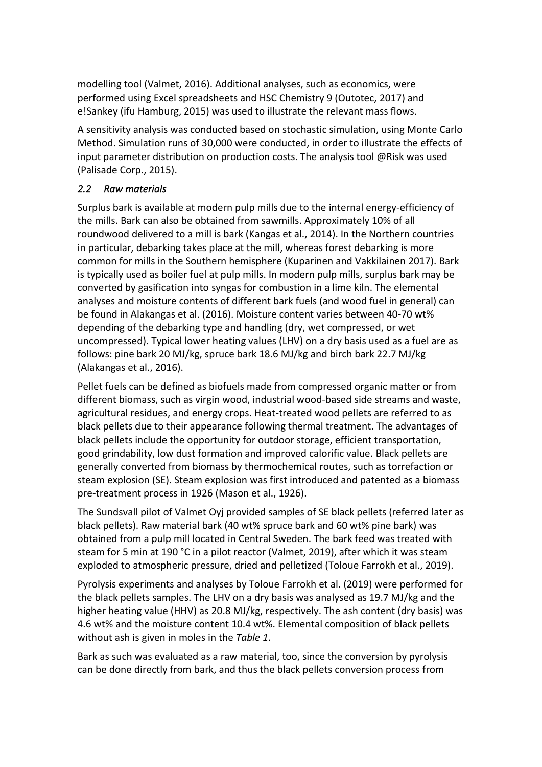modelling tool (Valmet, 2016). Additional analyses, such as economics, were performed using Excel spreadsheets and HSC Chemistry 9 (Outotec, 2017) and e!Sankey (ifu Hamburg, 2015) was used to illustrate the relevant mass flows.

A sensitivity analysis was conducted based on stochastic simulation, using Monte Carlo Method. Simulation runs of 30,000 were conducted, in order to illustrate the effects of input parameter distribution on production costs. The analysis tool @Risk was used (Palisade Corp., 2015).

# *2.2 Raw materials*

Surplus bark is available at modern pulp mills due to the internal energy-efficiency of the mills. Bark can also be obtained from sawmills. Approximately 10% of all roundwood delivered to a mill is bark (Kangas et al., 2014). In the Northern countries in particular, debarking takes place at the mill, whereas forest debarking is more common for mills in the Southern hemisphere (Kuparinen and Vakkilainen 2017). Bark is typically used as boiler fuel at pulp mills. In modern pulp mills, surplus bark may be converted by gasification into syngas for combustion in a lime kiln. The elemental analyses and moisture contents of different bark fuels (and wood fuel in general) can be found in Alakangas et al. (2016). Moisture content varies between 40-70 wt% depending of the debarking type and handling (dry, wet compressed, or wet uncompressed). Typical lower heating values (LHV) on a dry basis used as a fuel are as follows: pine bark 20 MJ/kg, spruce bark 18.6 MJ/kg and birch bark 22.7 MJ/kg (Alakangas et al., 2016).

Pellet fuels can be defined as biofuels made from compressed organic matter or from different biomass, such as virgin wood, industrial wood-based side streams and waste, agricultural residues, and energy crops. Heat-treated wood pellets are referred to as black pellets due to their appearance following thermal treatment. The advantages of black pellets include the opportunity for outdoor storage, efficient transportation, good grindability, low dust formation and improved calorific value. Black pellets are generally converted from biomass by thermochemical routes, such as torrefaction or steam explosion (SE). Steam explosion was first introduced and patented as a biomass pre-treatment process in 1926 (Mason et al., 1926).

The Sundsvall pilot of Valmet Oyj provided samples of SE black pellets (referred later as black pellets). Raw material bark (40 wt% spruce bark and 60 wt% pine bark) was obtained from a pulp mill located in Central Sweden. The bark feed was treated with steam for 5 min at 190 °C in a pilot reactor (Valmet, 2019), after which it was steam exploded to atmospheric pressure, dried and pelletized (Toloue Farrokh et al., 2019).

Pyrolysis experiments and analyses by Toloue Farrokh et al. (2019) were performed for the black pellets samples. The LHV on a dry basis was analysed as 19.7 MJ/kg and the higher heating value (HHV) as 20.8 MJ/kg, respectively. The ash content (dry basis) was 4.6 wt% and the moisture content 10.4 wt%. Elemental composition of black pellets without ash is given in moles in the *[Table 1](#page-10-0)*.

Bark as such was evaluated as a raw material, too, since the conversion by pyrolysis can be done directly from bark, and thus the black pellets conversion process from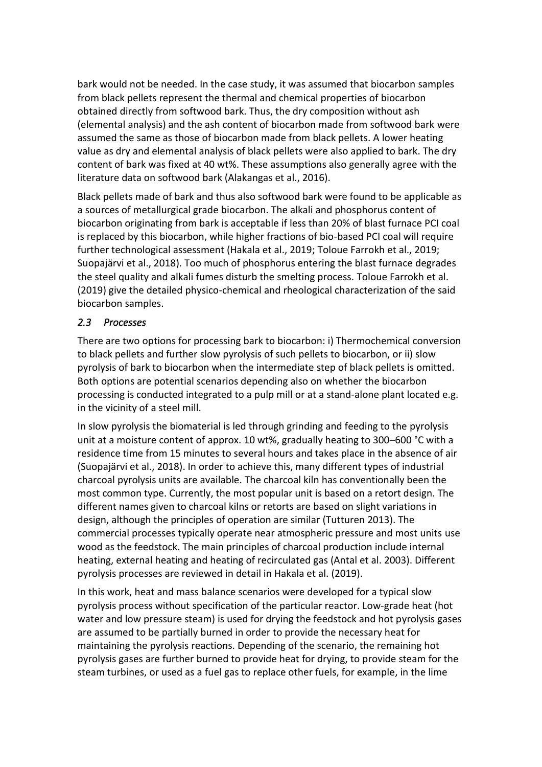bark would not be needed. In the case study, it was assumed that biocarbon samples from black pellets represent the thermal and chemical properties of biocarbon obtained directly from softwood bark. Thus, the dry composition without ash (elemental analysis) and the ash content of biocarbon made from softwood bark were assumed the same as those of biocarbon made from black pellets. A lower heating value as dry and elemental analysis of black pellets were also applied to bark. The dry content of bark was fixed at 40 wt%. These assumptions also generally agree with the literature data on softwood bark (Alakangas et al., 2016).

Black pellets made of bark and thus also softwood bark were found to be applicable as a sources of metallurgical grade biocarbon. The alkali and phosphorus content of biocarbon originating from bark is acceptable if less than 20% of blast furnace PCI coal is replaced by this biocarbon, while higher fractions of bio-based PCI coal will require further technological assessment (Hakala et al., 2019; Toloue Farrokh et al., 2019; Suopajärvi et al., 2018). Too much of phosphorus entering the blast furnace degrades the steel quality and alkali fumes disturb the smelting process. Toloue Farrokh et al. (2019) give the detailed physico-chemical and rheological characterization of the said biocarbon samples.

# *2.3 Processes*

There are two options for processing bark to biocarbon: i) Thermochemical conversion to black pellets and further slow pyrolysis of such pellets to biocarbon, or ii) slow pyrolysis of bark to biocarbon when the intermediate step of black pellets is omitted. Both options are potential scenarios depending also on whether the biocarbon processing is conducted integrated to a pulp mill or at a stand-alone plant located e.g. in the vicinity of a steel mill.

In slow pyrolysis the biomaterial is led through grinding and feeding to the pyrolysis unit at a moisture content of approx. 10 wt%, gradually heating to 300–600 °C with a residence time from 15 minutes to several hours and takes place in the absence of air (Suopajärvi et al., 2018). In order to achieve this, many different types of industrial charcoal pyrolysis units are available. The charcoal kiln has conventionally been the most common type. Currently, the most popular unit is based on a retort design. The different names given to charcoal kilns or retorts are based on slight variations in design, although the principles of operation are similar (Tutturen 2013). The commercial processes typically operate near atmospheric pressure and most units use wood as the feedstock. The main principles of charcoal production include internal heating, external heating and heating of recirculated gas (Antal et al. 2003). Different pyrolysis processes are reviewed in detail in Hakala et al. (2019).

In this work, heat and mass balance scenarios were developed for a typical slow pyrolysis process without specification of the particular reactor. Low-grade heat (hot water and low pressure steam) is used for drying the feedstock and hot pyrolysis gases are assumed to be partially burned in order to provide the necessary heat for maintaining the pyrolysis reactions. Depending of the scenario, the remaining hot pyrolysis gases are further burned to provide heat for drying, to provide steam for the steam turbines, or used as a fuel gas to replace other fuels, for example, in the lime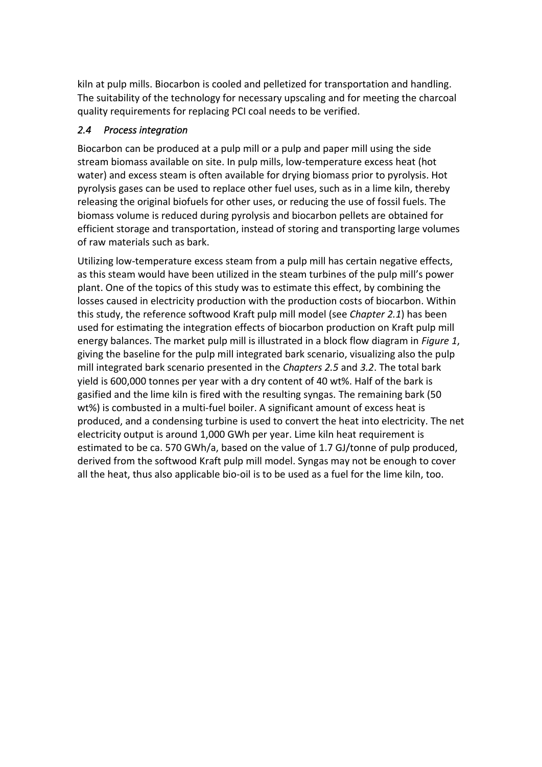kiln at pulp mills. Biocarbon is cooled and pelletized for transportation and handling. The suitability of the technology for necessary upscaling and for meeting the charcoal quality requirements for replacing PCI coal needs to be verified.

## <span id="page-6-0"></span>*2.4 Process integration*

Biocarbon can be produced at a pulp mill or a pulp and paper mill using the side stream biomass available on site. In pulp mills, low-temperature excess heat (hot water) and excess steam is often available for drying biomass prior to pyrolysis. Hot pyrolysis gases can be used to replace other fuel uses, such as in a lime kiln, thereby releasing the original biofuels for other uses, or reducing the use of fossil fuels. The biomass volume is reduced during pyrolysis and biocarbon pellets are obtained for efficient storage and transportation, instead of storing and transporting large volumes of raw materials such as bark.

Utilizing low-temperature excess steam from a pulp mill has certain negative effects, as this steam would have been utilized in the steam turbines of the pulp mill's power plant. One of the topics of this study was to estimate this effect, by combining the losses caused in electricity production with the production costs of biocarbon. Within this study, the reference softwood Kraft pulp mill model (see *Chapter [2.1](#page-3-0)*) has been used for estimating the integration effects of biocarbon production on Kraft pulp mill energy balances. The market pulp mill is illustrated in a block flow diagram in *[Figure 1](#page-7-0)*, giving the baseline for the pulp mill integrated bark scenario, visualizing also the pulp mill integrated bark scenario presented in the *Chapters [2.5](#page-7-1)* and *[3.2](#page-18-0)*. The total bark yield is 600,000 tonnes per year with a dry content of 40 wt%. Half of the bark is gasified and the lime kiln is fired with the resulting syngas. The remaining bark (50 wt%) is combusted in a multi-fuel boiler. A significant amount of excess heat is produced, and a condensing turbine is used to convert the heat into electricity. The net electricity output is around 1,000 GWh per year. Lime kiln heat requirement is estimated to be ca. 570 GWh/a, based on the value of 1.7 GJ/tonne of pulp produced, derived from the softwood Kraft pulp mill model. Syngas may not be enough to cover all the heat, thus also applicable bio-oil is to be used as a fuel for the lime kiln, too.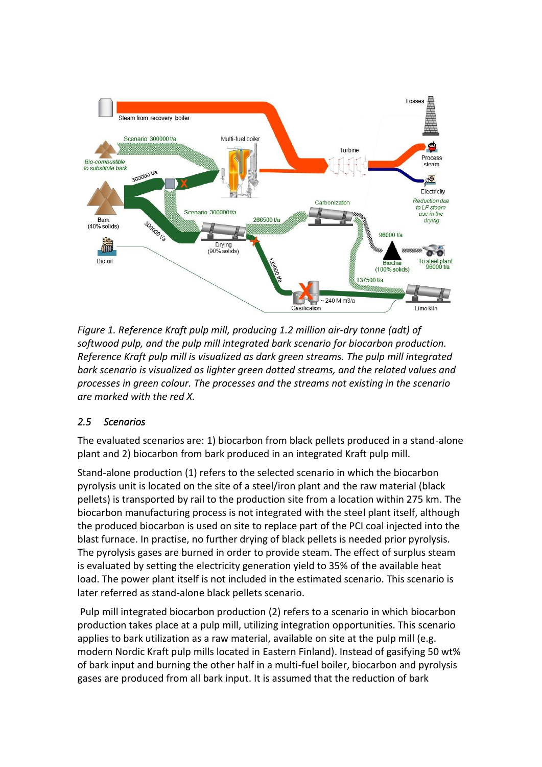

<span id="page-7-0"></span>*Figure 1. Reference Kraft pulp mill, producing 1.2 million air-dry tonne (adt) of softwood pulp, and the pulp mill integrated bark scenario for biocarbon production. Reference Kraft pulp mill is visualized as dark green streams. The pulp mill integrated bark scenario is visualized as lighter green dotted streams, and the related values and processes in green colour. The processes and the streams not existing in the scenario are marked with the red X.*

# <span id="page-7-1"></span>*2.5 Scenarios*

The evaluated scenarios are: 1) biocarbon from black pellets produced in a stand-alone plant and 2) biocarbon from bark produced in an integrated Kraft pulp mill.

Stand-alone production (1) refers to the selected scenario in which the biocarbon pyrolysis unit is located on the site of a steel/iron plant and the raw material (black pellets) is transported by rail to the production site from a location within 275 km. The biocarbon manufacturing process is not integrated with the steel plant itself, although the produced biocarbon is used on site to replace part of the PCI coal injected into the blast furnace. In practise, no further drying of black pellets is needed prior pyrolysis. The pyrolysis gases are burned in order to provide steam. The effect of surplus steam is evaluated by setting the electricity generation yield to 35% of the available heat load. The power plant itself is not included in the estimated scenario. This scenario is later referred as stand-alone black pellets scenario.

Pulp mill integrated biocarbon production (2) refers to a scenario in which biocarbon production takes place at a pulp mill, utilizing integration opportunities. This scenario applies to bark utilization as a raw material, available on site at the pulp mill (e.g. modern Nordic Kraft pulp mills located in Eastern Finland). Instead of gasifying 50 wt% of bark input and burning the other half in a multi-fuel boiler, biocarbon and pyrolysis gases are produced from all bark input. It is assumed that the reduction of bark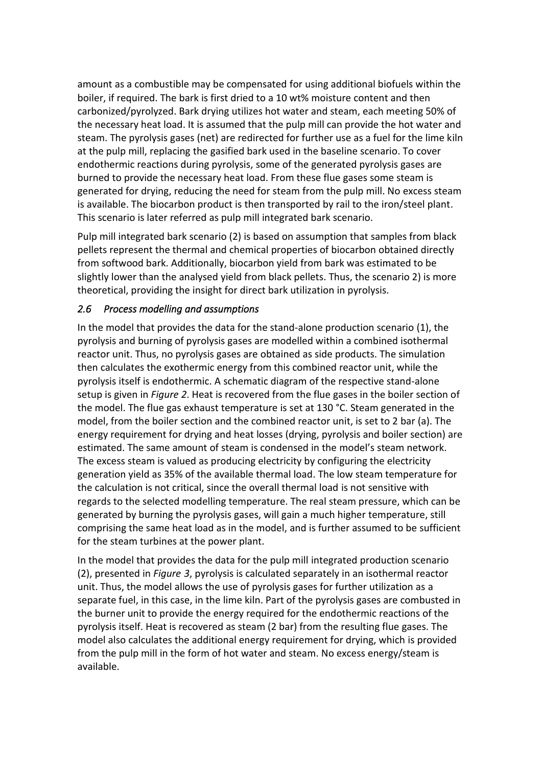amount as a combustible may be compensated for using additional biofuels within the boiler, if required. The bark is first dried to a 10 wt% moisture content and then carbonized/pyrolyzed. Bark drying utilizes hot water and steam, each meeting 50% of the necessary heat load. It is assumed that the pulp mill can provide the hot water and steam. The pyrolysis gases (net) are redirected for further use as a fuel for the lime kiln at the pulp mill, replacing the gasified bark used in the baseline scenario. To cover endothermic reactions during pyrolysis, some of the generated pyrolysis gases are burned to provide the necessary heat load. From these flue gases some steam is generated for drying, reducing the need for steam from the pulp mill. No excess steam is available. The biocarbon product is then transported by rail to the iron/steel plant. This scenario is later referred as pulp mill integrated bark scenario.

Pulp mill integrated bark scenario (2) is based on assumption that samples from black pellets represent the thermal and chemical properties of biocarbon obtained directly from softwood bark. Additionally, biocarbon yield from bark was estimated to be slightly lower than the analysed yield from black pellets. Thus, the scenario 2) is more theoretical, providing the insight for direct bark utilization in pyrolysis.

#### *2.6 Process modelling and assumptions*

In the model that provides the data for the stand-alone production scenario (1), the pyrolysis and burning of pyrolysis gases are modelled within a combined isothermal reactor unit. Thus, no pyrolysis gases are obtained as side products. The simulation then calculates the exothermic energy from this combined reactor unit, while the pyrolysis itself is endothermic. A schematic diagram of the respective stand-alone setup is given in *[Figure 2](#page-9-0)*. Heat is recovered from the flue gases in the boiler section of the model. The flue gas exhaust temperature is set at 130 °C. Steam generated in the model, from the boiler section and the combined reactor unit, is set to 2 bar (a). The energy requirement for drying and heat losses (drying, pyrolysis and boiler section) are estimated. The same amount of steam is condensed in the model's steam network. The excess steam is valued as producing electricity by configuring the electricity generation yield as 35% of the available thermal load. The low steam temperature for the calculation is not critical, since the overall thermal load is not sensitive with regards to the selected modelling temperature. The real steam pressure, which can be generated by burning the pyrolysis gases, will gain a much higher temperature, still comprising the same heat load as in the model, and is further assumed to be sufficient for the steam turbines at the power plant.

In the model that provides the data for the pulp mill integrated production scenario (2), presented in *[Figure](#page-10-1) 3*, pyrolysis is calculated separately in an isothermal reactor unit. Thus, the model allows the use of pyrolysis gases for further utilization as a separate fuel, in this case, in the lime kiln. Part of the pyrolysis gases are combusted in the burner unit to provide the energy required for the endothermic reactions of the pyrolysis itself. Heat is recovered as steam (2 bar) from the resulting flue gases. The model also calculates the additional energy requirement for drying, which is provided from the pulp mill in the form of hot water and steam. No excess energy/steam is available.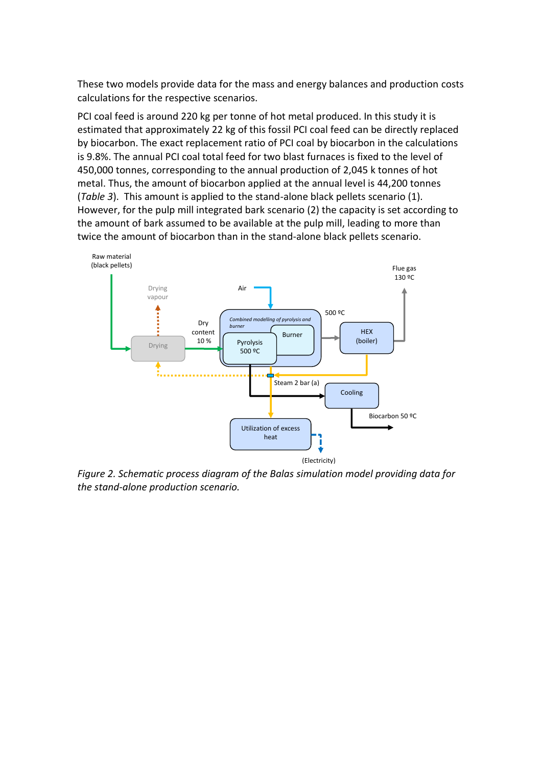These two models provide data for the mass and energy balances and production costs calculations for the respective scenarios.

PCI coal feed is around 220 kg per tonne of hot metal produced. In this study it is estimated that approximately 22 kg of this fossil PCI coal feed can be directly replaced by biocarbon. The exact replacement ratio of PCI coal by biocarbon in the calculations is 9.8%. The annual PCI coal total feed for two blast furnaces is fixed to the level of 450,000 tonnes, corresponding to the annual production of 2,045 k tonnes of hot metal. Thus, the amount of biocarbon applied at the annual level is 44,200 tonnes (*[Table 3](#page-12-0)*). This amount is applied to the stand-alone black pellets scenario (1). However, for the pulp mill integrated bark scenario (2) the capacity is set according to the amount of bark assumed to be available at the pulp mill, leading to more than twice the amount of biocarbon than in the stand-alone black pellets scenario.



<span id="page-9-0"></span>*Figure 2. Schematic process diagram of the Balas simulation model providing data for the stand-alone production scenario.*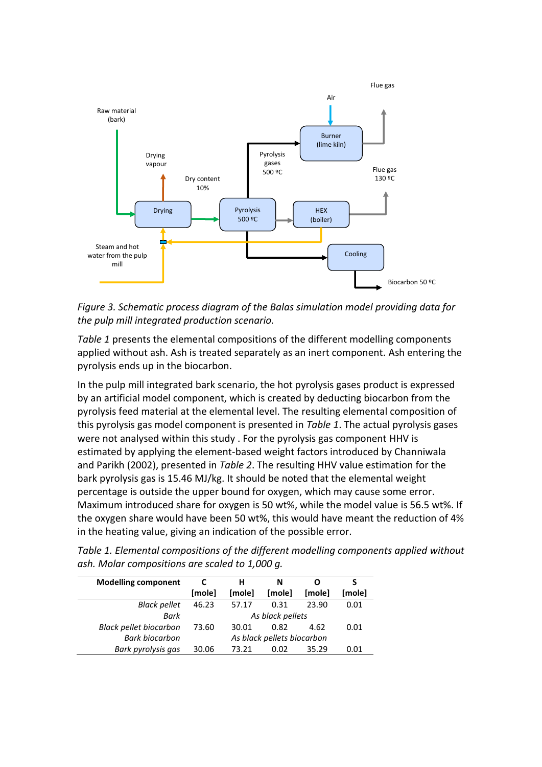

<span id="page-10-1"></span>*Figure 3. Schematic process diagram of the Balas simulation model providing data for the pulp mill integrated production scenario.*

*[Table 1](#page-10-0)* presents the elemental compositions of the different modelling components applied without ash. Ash is treated separately as an inert component. Ash entering the pyrolysis ends up in the biocarbon.

In the pulp mill integrated bark scenario, the hot pyrolysis gases product is expressed by an artificial model component, which is created by deducting biocarbon from the pyrolysis feed material at the elemental level. The resulting elemental composition of this pyrolysis gas model component is presented in *[Table 1](#page-10-0)*. The actual pyrolysis gases were not analysed within this study . For the pyrolysis gas component HHV is estimated by applying the element-based weight factors introduced by Channiwala and Parikh (2002), presented in *[Table 2](#page-11-0)*. The resulting HHV value estimation for the bark pyrolysis gas is 15.46 MJ/kg. It should be noted that the elemental weight percentage is outside the upper bound for oxygen, which may cause some error. Maximum introduced share for oxygen is 50 wt%, while the model value is 56.5 wt%. If the oxygen share would have been 50 wt%, this would have meant the reduction of 4% in the heating value, giving an indication of the possible error.

<span id="page-10-0"></span>*Table 1. Elemental compositions of the different modelling components applied without ash. Molar compositions are scaled to 1,000 g.* 

| <b>Modelling component</b>    |                            | н      | N      |        |        |  |
|-------------------------------|----------------------------|--------|--------|--------|--------|--|
|                               | [mole]                     | [mole] | [mole] | [mole] | [mole] |  |
| <b>Black pellet</b>           | 46.23                      | 57.17  | 0.31   | 23.90  | 0.01   |  |
| Bark                          | As black pellets           |        |        |        |        |  |
| <b>Black pellet biocarbon</b> | 73.60                      | 30.01  | 0.82   | 4.62   | 0.01   |  |
| <b>Bark biocarbon</b>         | As black pellets biocarbon |        |        |        |        |  |
| Bark pyrolysis gas            | 30.06                      | 73 21  | 0.02   | 35.29  | 0.01   |  |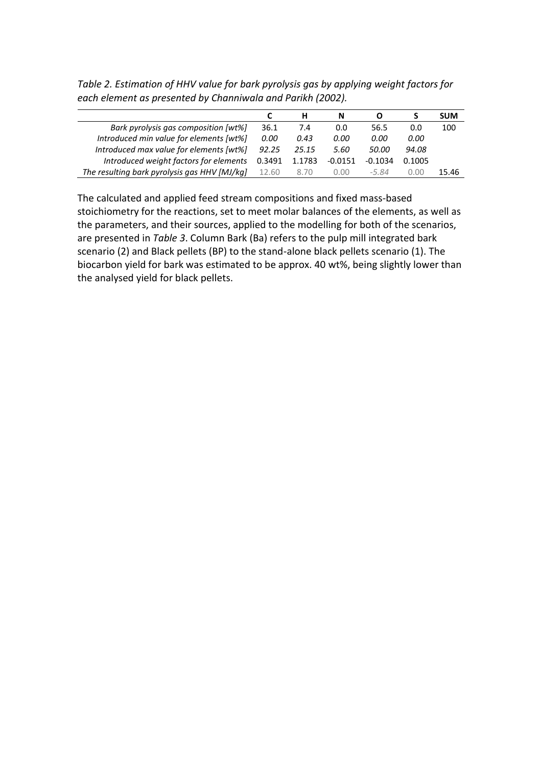|                                              |        |        | N         |           |        | <b>SUM</b> |
|----------------------------------------------|--------|--------|-----------|-----------|--------|------------|
| Bark pyrolysis gas composition [wt%]         | 36.1   | 7.4    | 0.0       | 56.5      | 0.0    | 100        |
| Introduced min value for elements [wt%]      | 0.00   | 0.43   | 0.00      | 0.00      | 0.00   |            |
| Introduced max value for elements [wt%]      | 92.25  | 25.15  | 5.60      | 50.00     | 94.08  |            |
| Introduced weight factors for elements       | 0.3491 | 1.1783 | $-0.0151$ | $-0.1034$ | 0.1005 |            |
| The resulting bark pyrolysis gas HHV [MJ/kg] | 12.60  | 8.70   | 0.00      | -5 84     | 0.00   | 15.46      |

<span id="page-11-0"></span>*Table 2. Estimation of HHV value for bark pyrolysis gas by applying weight factors for each element as presented by Channiwala and Parikh (2002).*

The calculated and applied feed stream compositions and fixed mass-based stoichiometry for the reactions, set to meet molar balances of the elements, as well as the parameters, and their sources, applied to the modelling for both of the scenarios, are presented in *[Table 3](#page-12-0)*. Column Bark (Ba) refers to the pulp mill integrated bark scenario (2) and Black pellets (BP) to the stand-alone black pellets scenario (1). The biocarbon yield for bark was estimated to be approx. 40 wt%, being slightly lower than the analysed yield for black pellets.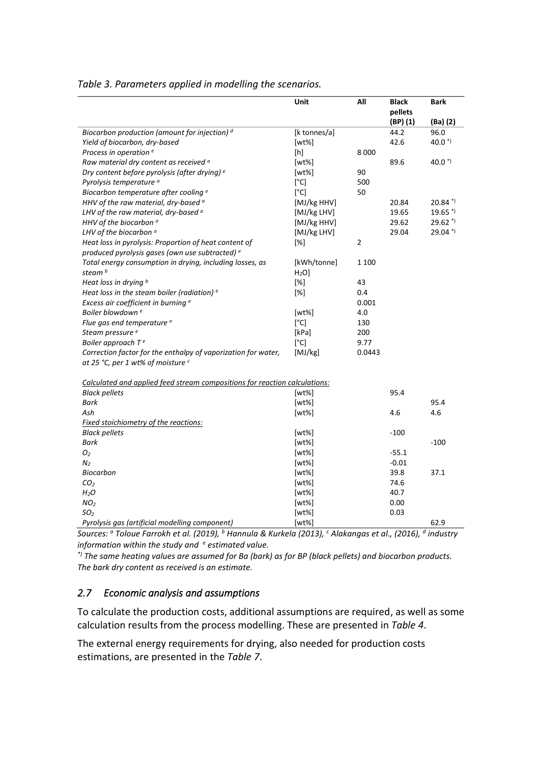| Unit<br>All<br><b>Black</b><br><b>Bark</b><br>pellets<br>$(BP)$ $(1)$<br>(Ba) (2)<br>Biocarbon production (amount for injection) d<br>[k tonnes/a]<br>44.2<br>96.0<br>40.0 $^{*}$<br>Yield of biocarbon, dry-based<br>42.6<br>$[wt\%]$<br>Process in operation <sup>e</sup><br>8 0 0 0<br>[h]<br>Raw material dry content as received <sup>a</sup><br>$[wt\%]$<br>89.6<br>$40.0*$<br>Dry content before pyrolysis (after drying) e<br>$[wt\%]$<br>90<br>Pyrolysis temperature <sup>a</sup><br>$\lceil$ °C]<br>500<br>[°C]<br>50<br>Biocarbon temperature after cooling e<br>HHV of the raw material, dry-based <sup>a</sup><br>[MJ/kg HHV]<br>20.84<br>$20.84$ <sup>*)</sup><br>LHV of the raw material, dry-based <sup>a</sup><br>[MJ/kg LHV]<br>19.65<br>$19.65$ <sup>*)</sup><br>HHV of the biocarbon <sup>a</sup><br>[MJ/kg HHV]<br>29.62<br>$29.62$ <sup>*)</sup><br>29.04 *)<br>LHV of the biocarbon $a$<br>[MJ/kg LHV]<br>29.04<br>$\overline{2}$<br>Heat loss in pyrolysis: Proportion of heat content of<br>$[\%]$<br>produced pyrolysis gases (own use subtracted) e<br>[kWh/tonne]<br>Total energy consumption in drying, including losses, as<br>1 1 0 0<br>steam b<br>H <sub>2</sub> O<br>$[\%]$<br>Heat loss in drying b<br>43<br>Heat loss in the steam boiler (radiation) e<br>$[\%]$<br>0.4<br>0.001<br>Excess air coefficient in burning <sup>e</sup><br>Boiler blowdown <sup>e</sup><br>[wt%]<br>4.0<br>Flue gas end temperature <sup>e</sup><br>[°C]<br>130<br>Steam pressure <sup>e</sup><br>[kPa]<br>200<br>[°C]<br>Boiler approach Te<br>9.77<br>Correction factor for the enthalpy of vaporization for water,<br>[MJ/kg]<br>0.0443 |
|------------------------------------------------------------------------------------------------------------------------------------------------------------------------------------------------------------------------------------------------------------------------------------------------------------------------------------------------------------------------------------------------------------------------------------------------------------------------------------------------------------------------------------------------------------------------------------------------------------------------------------------------------------------------------------------------------------------------------------------------------------------------------------------------------------------------------------------------------------------------------------------------------------------------------------------------------------------------------------------------------------------------------------------------------------------------------------------------------------------------------------------------------------------------------------------------------------------------------------------------------------------------------------------------------------------------------------------------------------------------------------------------------------------------------------------------------------------------------------------------------------------------------------------------------------------------------------------------------------------------------------------------------------|
|                                                                                                                                                                                                                                                                                                                                                                                                                                                                                                                                                                                                                                                                                                                                                                                                                                                                                                                                                                                                                                                                                                                                                                                                                                                                                                                                                                                                                                                                                                                                                                                                                                                            |
|                                                                                                                                                                                                                                                                                                                                                                                                                                                                                                                                                                                                                                                                                                                                                                                                                                                                                                                                                                                                                                                                                                                                                                                                                                                                                                                                                                                                                                                                                                                                                                                                                                                            |
|                                                                                                                                                                                                                                                                                                                                                                                                                                                                                                                                                                                                                                                                                                                                                                                                                                                                                                                                                                                                                                                                                                                                                                                                                                                                                                                                                                                                                                                                                                                                                                                                                                                            |
|                                                                                                                                                                                                                                                                                                                                                                                                                                                                                                                                                                                                                                                                                                                                                                                                                                                                                                                                                                                                                                                                                                                                                                                                                                                                                                                                                                                                                                                                                                                                                                                                                                                            |
|                                                                                                                                                                                                                                                                                                                                                                                                                                                                                                                                                                                                                                                                                                                                                                                                                                                                                                                                                                                                                                                                                                                                                                                                                                                                                                                                                                                                                                                                                                                                                                                                                                                            |
|                                                                                                                                                                                                                                                                                                                                                                                                                                                                                                                                                                                                                                                                                                                                                                                                                                                                                                                                                                                                                                                                                                                                                                                                                                                                                                                                                                                                                                                                                                                                                                                                                                                            |
|                                                                                                                                                                                                                                                                                                                                                                                                                                                                                                                                                                                                                                                                                                                                                                                                                                                                                                                                                                                                                                                                                                                                                                                                                                                                                                                                                                                                                                                                                                                                                                                                                                                            |
|                                                                                                                                                                                                                                                                                                                                                                                                                                                                                                                                                                                                                                                                                                                                                                                                                                                                                                                                                                                                                                                                                                                                                                                                                                                                                                                                                                                                                                                                                                                                                                                                                                                            |
|                                                                                                                                                                                                                                                                                                                                                                                                                                                                                                                                                                                                                                                                                                                                                                                                                                                                                                                                                                                                                                                                                                                                                                                                                                                                                                                                                                                                                                                                                                                                                                                                                                                            |
|                                                                                                                                                                                                                                                                                                                                                                                                                                                                                                                                                                                                                                                                                                                                                                                                                                                                                                                                                                                                                                                                                                                                                                                                                                                                                                                                                                                                                                                                                                                                                                                                                                                            |
|                                                                                                                                                                                                                                                                                                                                                                                                                                                                                                                                                                                                                                                                                                                                                                                                                                                                                                                                                                                                                                                                                                                                                                                                                                                                                                                                                                                                                                                                                                                                                                                                                                                            |
|                                                                                                                                                                                                                                                                                                                                                                                                                                                                                                                                                                                                                                                                                                                                                                                                                                                                                                                                                                                                                                                                                                                                                                                                                                                                                                                                                                                                                                                                                                                                                                                                                                                            |
|                                                                                                                                                                                                                                                                                                                                                                                                                                                                                                                                                                                                                                                                                                                                                                                                                                                                                                                                                                                                                                                                                                                                                                                                                                                                                                                                                                                                                                                                                                                                                                                                                                                            |
|                                                                                                                                                                                                                                                                                                                                                                                                                                                                                                                                                                                                                                                                                                                                                                                                                                                                                                                                                                                                                                                                                                                                                                                                                                                                                                                                                                                                                                                                                                                                                                                                                                                            |
|                                                                                                                                                                                                                                                                                                                                                                                                                                                                                                                                                                                                                                                                                                                                                                                                                                                                                                                                                                                                                                                                                                                                                                                                                                                                                                                                                                                                                                                                                                                                                                                                                                                            |
|                                                                                                                                                                                                                                                                                                                                                                                                                                                                                                                                                                                                                                                                                                                                                                                                                                                                                                                                                                                                                                                                                                                                                                                                                                                                                                                                                                                                                                                                                                                                                                                                                                                            |
|                                                                                                                                                                                                                                                                                                                                                                                                                                                                                                                                                                                                                                                                                                                                                                                                                                                                                                                                                                                                                                                                                                                                                                                                                                                                                                                                                                                                                                                                                                                                                                                                                                                            |
|                                                                                                                                                                                                                                                                                                                                                                                                                                                                                                                                                                                                                                                                                                                                                                                                                                                                                                                                                                                                                                                                                                                                                                                                                                                                                                                                                                                                                                                                                                                                                                                                                                                            |
|                                                                                                                                                                                                                                                                                                                                                                                                                                                                                                                                                                                                                                                                                                                                                                                                                                                                                                                                                                                                                                                                                                                                                                                                                                                                                                                                                                                                                                                                                                                                                                                                                                                            |
|                                                                                                                                                                                                                                                                                                                                                                                                                                                                                                                                                                                                                                                                                                                                                                                                                                                                                                                                                                                                                                                                                                                                                                                                                                                                                                                                                                                                                                                                                                                                                                                                                                                            |
|                                                                                                                                                                                                                                                                                                                                                                                                                                                                                                                                                                                                                                                                                                                                                                                                                                                                                                                                                                                                                                                                                                                                                                                                                                                                                                                                                                                                                                                                                                                                                                                                                                                            |
|                                                                                                                                                                                                                                                                                                                                                                                                                                                                                                                                                                                                                                                                                                                                                                                                                                                                                                                                                                                                                                                                                                                                                                                                                                                                                                                                                                                                                                                                                                                                                                                                                                                            |
|                                                                                                                                                                                                                                                                                                                                                                                                                                                                                                                                                                                                                                                                                                                                                                                                                                                                                                                                                                                                                                                                                                                                                                                                                                                                                                                                                                                                                                                                                                                                                                                                                                                            |
|                                                                                                                                                                                                                                                                                                                                                                                                                                                                                                                                                                                                                                                                                                                                                                                                                                                                                                                                                                                                                                                                                                                                                                                                                                                                                                                                                                                                                                                                                                                                                                                                                                                            |
|                                                                                                                                                                                                                                                                                                                                                                                                                                                                                                                                                                                                                                                                                                                                                                                                                                                                                                                                                                                                                                                                                                                                                                                                                                                                                                                                                                                                                                                                                                                                                                                                                                                            |
| at 25 °C, per 1 wt% of moisture $c$                                                                                                                                                                                                                                                                                                                                                                                                                                                                                                                                                                                                                                                                                                                                                                                                                                                                                                                                                                                                                                                                                                                                                                                                                                                                                                                                                                                                                                                                                                                                                                                                                        |
| Calculated and applied feed stream compositions for reaction calculations:                                                                                                                                                                                                                                                                                                                                                                                                                                                                                                                                                                                                                                                                                                                                                                                                                                                                                                                                                                                                                                                                                                                                                                                                                                                                                                                                                                                                                                                                                                                                                                                 |
| <b>Black pellets</b><br>$[wt\%]$<br>95.4                                                                                                                                                                                                                                                                                                                                                                                                                                                                                                                                                                                                                                                                                                                                                                                                                                                                                                                                                                                                                                                                                                                                                                                                                                                                                                                                                                                                                                                                                                                                                                                                                   |
| 95.4<br>Bark<br>$[wt\%]$                                                                                                                                                                                                                                                                                                                                                                                                                                                                                                                                                                                                                                                                                                                                                                                                                                                                                                                                                                                                                                                                                                                                                                                                                                                                                                                                                                                                                                                                                                                                                                                                                                   |
| Ash<br>[wt%]<br>4.6<br>4.6                                                                                                                                                                                                                                                                                                                                                                                                                                                                                                                                                                                                                                                                                                                                                                                                                                                                                                                                                                                                                                                                                                                                                                                                                                                                                                                                                                                                                                                                                                                                                                                                                                 |
| <b>Fixed stoichiometry of the reactions:</b>                                                                                                                                                                                                                                                                                                                                                                                                                                                                                                                                                                                                                                                                                                                                                                                                                                                                                                                                                                                                                                                                                                                                                                                                                                                                                                                                                                                                                                                                                                                                                                                                               |
| $-100$<br><b>Black pellets</b><br>[wt%]                                                                                                                                                                                                                                                                                                                                                                                                                                                                                                                                                                                                                                                                                                                                                                                                                                                                                                                                                                                                                                                                                                                                                                                                                                                                                                                                                                                                                                                                                                                                                                                                                    |
| Bark<br>$-100$<br>[wt%]                                                                                                                                                                                                                                                                                                                                                                                                                                                                                                                                                                                                                                                                                                                                                                                                                                                                                                                                                                                                                                                                                                                                                                                                                                                                                                                                                                                                                                                                                                                                                                                                                                    |
| $[wt\%]$<br>$-55.1$<br>Ο2                                                                                                                                                                                                                                                                                                                                                                                                                                                                                                                                                                                                                                                                                                                                                                                                                                                                                                                                                                                                                                                                                                                                                                                                                                                                                                                                                                                                                                                                                                                                                                                                                                  |
| $-0.01$<br>$N_2$<br>$[wt\%]$                                                                                                                                                                                                                                                                                                                                                                                                                                                                                                                                                                                                                                                                                                                                                                                                                                                                                                                                                                                                                                                                                                                                                                                                                                                                                                                                                                                                                                                                                                                                                                                                                               |
| Biocarbon<br>39.8<br>37.1<br>$[wt\%]$                                                                                                                                                                                                                                                                                                                                                                                                                                                                                                                                                                                                                                                                                                                                                                                                                                                                                                                                                                                                                                                                                                                                                                                                                                                                                                                                                                                                                                                                                                                                                                                                                      |
| 74.6<br>CO <sub>2</sub><br>$[wt\%]$                                                                                                                                                                                                                                                                                                                                                                                                                                                                                                                                                                                                                                                                                                                                                                                                                                                                                                                                                                                                                                                                                                                                                                                                                                                                                                                                                                                                                                                                                                                                                                                                                        |
|                                                                                                                                                                                                                                                                                                                                                                                                                                                                                                                                                                                                                                                                                                                                                                                                                                                                                                                                                                                                                                                                                                                                                                                                                                                                                                                                                                                                                                                                                                                                                                                                                                                            |
| 40.7<br>H <sub>2</sub> O<br>[wt%]                                                                                                                                                                                                                                                                                                                                                                                                                                                                                                                                                                                                                                                                                                                                                                                                                                                                                                                                                                                                                                                                                                                                                                                                                                                                                                                                                                                                                                                                                                                                                                                                                          |
| NO <sub>2</sub><br>0.00<br>[wt%]                                                                                                                                                                                                                                                                                                                                                                                                                                                                                                                                                                                                                                                                                                                                                                                                                                                                                                                                                                                                                                                                                                                                                                                                                                                                                                                                                                                                                                                                                                                                                                                                                           |
| 0.03<br>SO <sub>2</sub><br>$[wt\%]$<br>$[wt\%]$<br>62.9<br>Pyrolysis gas (artificial modelling component)                                                                                                                                                                                                                                                                                                                                                                                                                                                                                                                                                                                                                                                                                                                                                                                                                                                                                                                                                                                                                                                                                                                                                                                                                                                                                                                                                                                                                                                                                                                                                  |

#### <span id="page-12-0"></span>*Table 3. Parameters applied in modelling the scenarios.*

*Sources: <sup>a</sup> Toloue Farrokh et al. (2019), <sup>b</sup> Hannula & Kurkela (2013), <sup>c</sup> Alakangas et al., (2016), <sup>d</sup> industry information within the study and <sup>e</sup> estimated value.*

*\*) The same heating values are assumed for Ba (bark) as for BP (black pellets) and biocarbon products. The bark dry content as received is an estimate.* 

#### *2.7 Economic analysis and assumptions*

To calculate the production costs, additional assumptions are required, as well as some calculation results from the process modelling. These are presented in *[Table 4](#page-13-0)*.

The external energy requirements for drying, also needed for production costs estimations, are presented in the *[Table 7](#page-17-0)*.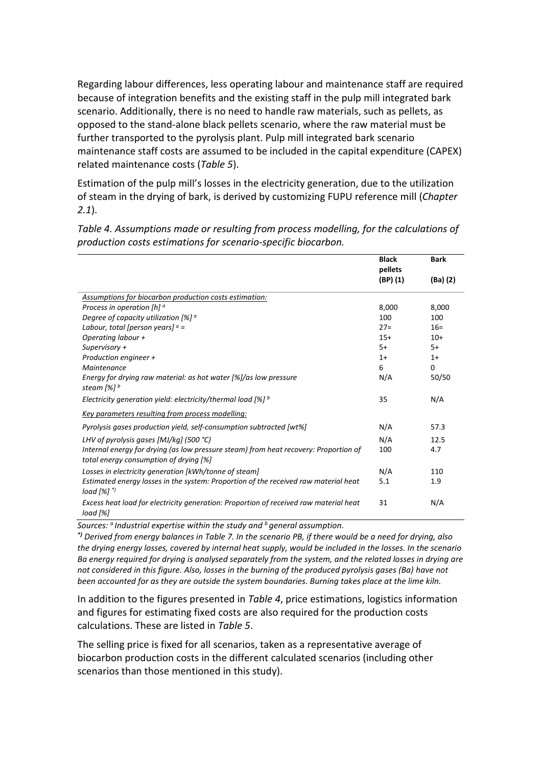Regarding labour differences, less operating labour and maintenance staff are required because of integration benefits and the existing staff in the pulp mill integrated bark scenario. Additionally, there is no need to handle raw materials, such as pellets, as opposed to the stand-alone black pellets scenario, where the raw material must be further transported to the pyrolysis plant. Pulp mill integrated bark scenario maintenance staff costs are assumed to be included in the capital expenditure (CAPEX) related maintenance costs (*[Table 5](#page-15-0)*).

Estimation of the pulp mill's losses in the electricity generation, due to the utilization of steam in the drying of bark, is derived by customizing FUPU reference mill (*Chapter [2.1](#page-3-0)*).

**Black pellets (BP) (1) Bark (Ba) (2)** *Assumptions for biocarbon production costs estimation:* **Process in operation [h] <sup>a</sup>** 8,000 8,000 8,000 8,000 8,000 8,000 8,000 8,000 8,000 8,000 8,000 **8,000** *Degree of capacity utilization [%] <sup>a</sup>* 100 100 *Labour, total [person years] <sup>a</sup> = Operating labour + Supervisory + Production engineer + Maintenance*  $27=$ 15+ 5+  $1+$ 6  $16=$  $10+$ 5+ 1+  $\Omega$ *Energy for drying raw material: as hot water [%]/as low pressure steam [%] <sup>b</sup>* N/A 50/50 *Electricity generation yield: electricity/thermal load [%] <sup>b</sup>* 35 N/A *Key parameters resulting from process modelling: Pyrolysis gases production yield, self-consumption subtracted [wt%]* N/A 57.3 *LHV of pyrolysis gases [MJ/kg] (500 °C)*  $N/A$  12.5 *Internal energy for drying (as low pressure steam) from heat recovery: Proportion of total energy consumption of drying [%]* 100 4.7 *Losses in electricity generation [kWh/tonne of steam]* N/A 110 *Estimated energy losses in the system: Proportion of the received raw material heat load [%] \*)* 5.1 1.9 *Excess heat load for electricity generation: Proportion of received raw material heat load [%]* 31 N/A

<span id="page-13-0"></span>*Table 4. Assumptions made or resulting from process modelling, for the calculations of production costs estimations for scenario-specific biocarbon.*

*Sources: <sup>a</sup> Industrial expertise within the study and <sup>b</sup> general assumption.*

*\*) Derived from energy balances in [Table 7.](#page-17-0) In the scenario PB, if there would be a need for drying, also the drying energy losses, covered by internal heat supply, would be included in the losses. In the scenario Ba energy required for drying is analysed separately from the system, and the related losses in drying are not considered in this figure. Also, losses in the burning of the produced pyrolysis gases (Ba) have not been accounted for as they are outside the system boundaries. Burning takes place at the lime kiln.* 

In addition to the figures presented in *[Table 4](#page-13-0)*, price estimations, logistics information and figures for estimating fixed costs are also required for the production costs calculations. These are listed in *[Table 5](#page-15-0)*.

The selling price is fixed for all scenarios, taken as a representative average of biocarbon production costs in the different calculated scenarios (including other scenarios than those mentioned in this study).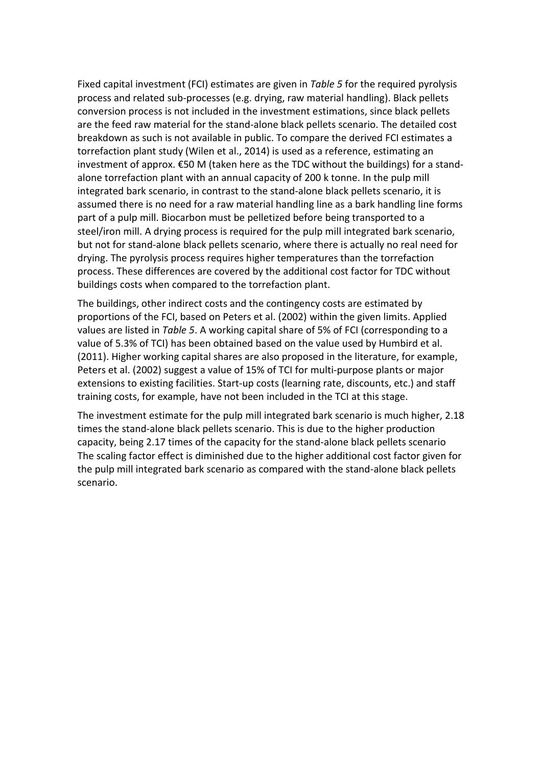Fixed capital investment (FCI) estimates are given in *[Table 5](#page-15-0)* for the required pyrolysis process and related sub-processes (e.g. drying, raw material handling). Black pellets conversion process is not included in the investment estimations, since black pellets are the feed raw material for the stand-alone black pellets scenario. The detailed cost breakdown as such is not available in public. To compare the derived FCI estimates a torrefaction plant study (Wilen et al., 2014) is used as a reference, estimating an investment of approx. €50 M (taken here as the TDC without the buildings) for a standalone torrefaction plant with an annual capacity of 200 k tonne. In the pulp mill integrated bark scenario, in contrast to the stand-alone black pellets scenario, it is assumed there is no need for a raw material handling line as a bark handling line forms part of a pulp mill. Biocarbon must be pelletized before being transported to a steel/iron mill. A drying process is required for the pulp mill integrated bark scenario, but not for stand-alone black pellets scenario, where there is actually no real need for drying. The pyrolysis process requires higher temperatures than the torrefaction process. These differences are covered by the additional cost factor for TDC without buildings costs when compared to the torrefaction plant.

The buildings, other indirect costs and the contingency costs are estimated by proportions of the FCI, based on Peters et al. (2002) within the given limits. Applied values are listed in *[Table 5](#page-15-0)*. A working capital share of 5% of FCI (corresponding to a value of 5.3% of TCI) has been obtained based on the value used by Humbird et al. (2011). Higher working capital shares are also proposed in the literature, for example, Peters et al. (2002) suggest a value of 15% of TCI for multi-purpose plants or major extensions to existing facilities. Start-up costs (learning rate, discounts, etc.) and staff training costs, for example, have not been included in the TCI at this stage.

The investment estimate for the pulp mill integrated bark scenario is much higher, 2.18 times the stand-alone black pellets scenario. This is due to the higher production capacity, being 2.17 times of the capacity for the stand-alone black pellets scenario The scaling factor effect is diminished due to the higher additional cost factor given for the pulp mill integrated bark scenario as compared with the stand-alone black pellets scenario.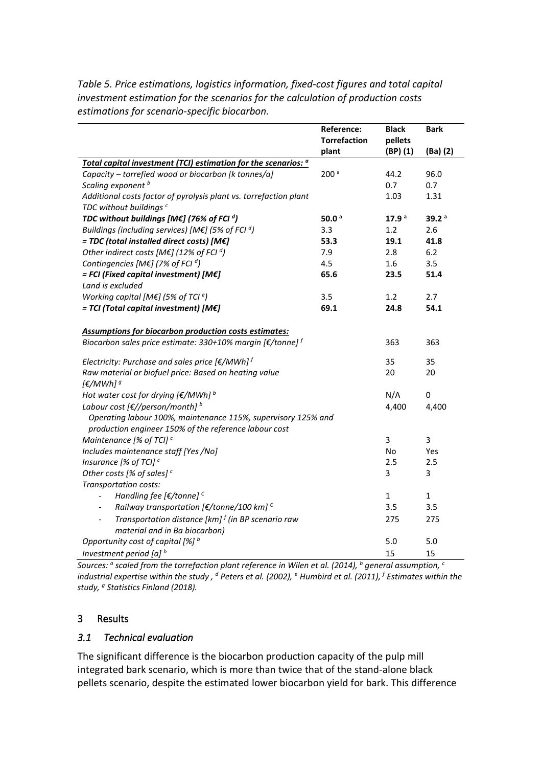|                                                                                       | Reference:          | <b>Black</b>      | <b>Bark</b>       |
|---------------------------------------------------------------------------------------|---------------------|-------------------|-------------------|
|                                                                                       | <b>Torrefaction</b> | pellets           |                   |
|                                                                                       | plant               | (BP) (1)          | $(Ba)$ $(2)$      |
| Total capital investment (TCI) estimation for the scenarios: <sup>a</sup>             |                     |                   |                   |
| Capacity - torrefied wood or biocarbon [k tonnes/a]                                   | 200 <sup>a</sup>    | 44.2              | 96.0              |
| Scaling exponent <sup>b</sup>                                                         |                     | 0.7               | 0.7               |
| Additional costs factor of pyrolysis plant vs. torrefaction plant                     |                     | 1.03              | 1.31              |
| TDC without buildings <sup>c</sup>                                                    |                     |                   |                   |
| TDC without buildings [ME] (76% of FCI $d$ )                                          | 50.0 $a$            | 17.9 <sup>a</sup> | 39.2 <sup>a</sup> |
| Buildings (including services) [ME] (5% of FCI $d$ )                                  | 3.3                 | 1.2               | 2.6               |
| = TDC (total installed direct costs) [M€]                                             | 53.3                | 19.1              | 41.8              |
| Other indirect costs [M $\epsilon$ ] (12% of FCI <sup>d</sup> )                       | 7.9                 | 2.8               | $6.2$             |
| Contingencies [M€] (7% of FCI $d$ )                                                   | 4.5                 | 1.6               | 3.5               |
| $=$ FCI (Fixed capital investment) [ME]                                               | 65.6                | 23.5              | 51.4              |
| Land is excluded                                                                      |                     |                   |                   |
| Working capital [M€] (5% of TCI $e$ )                                                 | 3.5                 | 1.2               | 2.7               |
| $=$ TCI (Total capital investment) [M $\epsilon$ ]                                    | 69.1                | 24.8              | 54.1              |
|                                                                                       |                     |                   |                   |
| <b>Assumptions for biocarbon production costs estimates:</b>                          |                     |                   |                   |
| Biocarbon sales price estimate: 330+10% margin [€/tonne] f                            |                     | 363               | 363               |
|                                                                                       |                     |                   |                   |
| Electricity: Purchase and sales price $[\mathcal{E}/MWh]^f$                           |                     | 35                | 35                |
| Raw material or biofuel price: Based on heating value                                 |                     | 20                | 20                |
| [ $\epsilon$ /MWh] <sup>9</sup>                                                       |                     |                   |                   |
| Hot water cost for drying $[€/MWh]$ <sup>b</sup>                                      |                     | N/A               | $\mathbf 0$       |
| Labour cost $[\mathcal{E}]/\text{person}/\text{month}]$ b                             |                     | 4,400             | 4,400             |
| Operating labour 100%, maintenance 115%, supervisory 125% and                         |                     |                   |                   |
| production engineer 150% of the reference labour cost                                 |                     |                   |                   |
| Maintenance [% of TCI] $c$                                                            |                     | 3                 | 3                 |
| Includes maintenance staff [Yes /No]                                                  |                     | No                | Yes               |
| Insurance [% of TCI] <sup>c</sup>                                                     |                     | 2.5               | 2.5               |
| Other costs [% of sales] $c$                                                          |                     | 3                 | 3                 |
| Transportation costs:                                                                 |                     |                   |                   |
| Handling fee [ $\epsilon$ /tonne] $^c$                                                |                     | $\mathbf 1$       | $\mathbf 1$       |
| Railway transportation [ $\epsilon$ /tonne/100 km] <sup>c</sup>                       |                     | 3.5               | 3.5               |
| Transportation distance [ $km$ ] $^f$ (in BP scenario raw<br>$\overline{\phantom{a}}$ |                     | 275               | 275               |
| material and in Ba biocarbon)                                                         |                     |                   |                   |
| Opportunity cost of capital [%] b                                                     |                     | 5.0               | 5.0               |
| Investment period [a] $b$                                                             |                     | 15                | 15                |

<span id="page-15-0"></span>*Table 5. Price estimations, logistics information, fixed-cost figures and total capital investment estimation for the scenarios for the calculation of production costs estimations for scenario-specific biocarbon.*

*Sources: <sup>a</sup> scaled from the torrefaction plant reference in Wilen et al. (2014), <sup>b</sup> general assumption, <sup>c</sup> industrial expertise within the study , <sup>d</sup> Peters et al. (2002), <sup>e</sup> Humbird et al. (2011), <sup>f</sup> Estimates within the study, g Statistics Finland (2018).* 

#### 3 Results

#### *3.1 Technical evaluation*

The significant difference is the biocarbon production capacity of the pulp mill integrated bark scenario, which is more than twice that of the stand-alone black pellets scenario, despite the estimated lower biocarbon yield for bark. This difference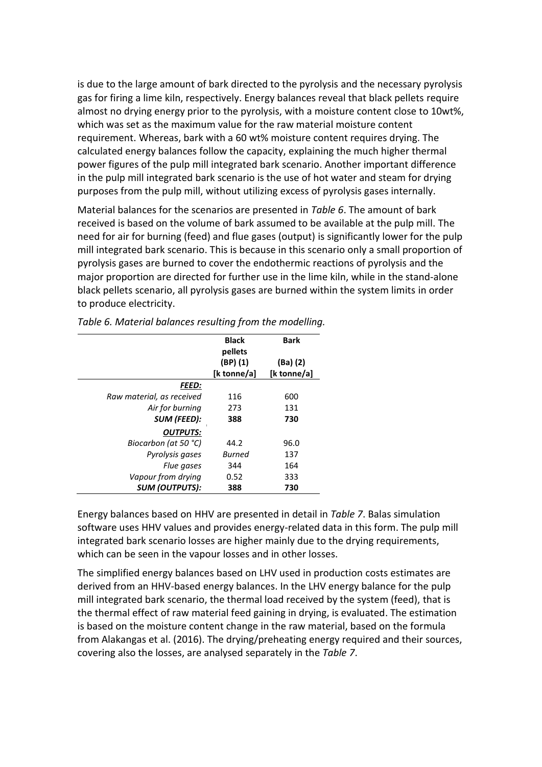is due to the large amount of bark directed to the pyrolysis and the necessary pyrolysis gas for firing a lime kiln, respectively. Energy balances reveal that black pellets require almost no drying energy prior to the pyrolysis, with a moisture content close to 10wt%, which was set as the maximum value for the raw material moisture content requirement. Whereas, bark with a 60 wt% moisture content requires drying. The calculated energy balances follow the capacity, explaining the much higher thermal power figures of the pulp mill integrated bark scenario. Another important difference in the pulp mill integrated bark scenario is the use of hot water and steam for drying purposes from the pulp mill, without utilizing excess of pyrolysis gases internally.

Material balances for the scenarios are presented in *[Table 6](#page-16-0)*. The amount of bark received is based on the volume of bark assumed to be available at the pulp mill. The need for air for burning (feed) and flue gases (output) is significantly lower for the pulp mill integrated bark scenario. This is because in this scenario only a small proportion of pyrolysis gases are burned to cover the endothermic reactions of pyrolysis and the major proportion are directed for further use in the lime kiln, while in the stand-alone black pellets scenario, all pyrolysis gases are burned within the system limits in order to produce electricity.

|                           | <b>Black</b><br>pellets | <b>Bark</b> |
|---------------------------|-------------------------|-------------|
|                           | (BP) (1)                | (Ba) (2)    |
|                           | [k tonne/a]             | [k tonne/a] |
| <b>FEED:</b>              |                         |             |
| Raw material, as received | 116                     | 600         |
| Air for burning           | 273                     | 131         |
| SUM (FEED):               | 388                     | 730         |
| <b>OUTPUTS:</b>           |                         |             |
| Biocarbon (at 50 °C)      | 44.2                    | 96.0        |
| Pyrolysis gases           | Burned                  | 137         |
| Flue gases                | 344                     | 164         |
| Vapour from drying        | 0.52                    | 333         |
| <b>SUM (OUTPUTS):</b>     | 388                     | 730         |

<span id="page-16-0"></span>*Table 6. Material balances resulting from the modelling.* 

Energy balances based on HHV are presented in detail in *[Table 7](#page-17-0)*. Balas simulation software uses HHV values and provides energy-related data in this form. The pulp mill integrated bark scenario losses are higher mainly due to the drying requirements, which can be seen in the vapour losses and in other losses.

The simplified energy balances based on LHV used in production costs estimates are derived from an HHV-based energy balances. In the LHV energy balance for the pulp mill integrated bark scenario, the thermal load received by the system (feed), that is the thermal effect of raw material feed gaining in drying, is evaluated. The estimation is based on the moisture content change in the raw material, based on the formula from Alakangas et al. (2016). The drying/preheating energy required and their sources, covering also the losses, are analysed separately in the *[Table 7](#page-17-0)*.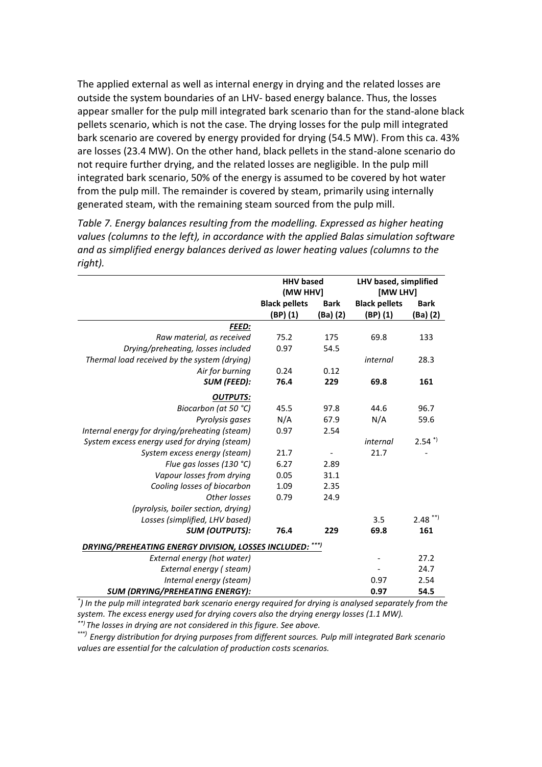The applied external as well as internal energy in drying and the related losses are outside the system boundaries of an LHV- based energy balance. Thus, the losses appear smaller for the pulp mill integrated bark scenario than for the stand-alone black pellets scenario, which is not the case. The drying losses for the pulp mill integrated bark scenario are covered by energy provided for drying (54.5 MW). From this ca. 43% are losses (23.4 MW). On the other hand, black pellets in the stand-alone scenario do not require further drying, and the related losses are negligible. In the pulp mill integrated bark scenario, 50% of the energy is assumed to be covered by hot water from the pulp mill. The remainder is covered by steam, primarily using internally generated steam, with the remaining steam sourced from the pulp mill.

<span id="page-17-0"></span>*Table 7. Energy balances resulting from the modelling. Expressed as higher heating values (columns to the left), in accordance with the applied Balas simulation software and as simplified energy balances derived as lower heating values (columns to the right).*

|                                                          | <b>HHV based</b>     |             | LHV based, simplified |                      |  |  |
|----------------------------------------------------------|----------------------|-------------|-----------------------|----------------------|--|--|
|                                                          | (MW HHV)             |             | [MW LHV]              |                      |  |  |
|                                                          | <b>Black pellets</b> | <b>Bark</b> | <b>Black pellets</b>  | <b>Bark</b>          |  |  |
|                                                          | (BP) (1)             | (Ba) (2)    | $(BP)$ $(1)$          | (Ba) (2)             |  |  |
| <b>FEED:</b>                                             |                      |             |                       |                      |  |  |
| Raw material, as received                                | 75.2                 | 175         | 69.8                  | 133                  |  |  |
| Drying/preheating, losses included                       | 0.97                 | 54.5        |                       |                      |  |  |
| Thermal load received by the system (drying)             |                      |             | internal              | 28.3                 |  |  |
| Air for burning                                          | 0.24                 | 0.12        |                       |                      |  |  |
| <b>SUM (FEED):</b>                                       | 76.4                 | 229         | 69.8                  | 161                  |  |  |
| <b>OUTPUTS:</b>                                          |                      |             |                       |                      |  |  |
| Biocarbon (at 50 °C)                                     | 45.5                 | 97.8        | 44.6                  | 96.7                 |  |  |
| Pyrolysis gases                                          | N/A                  | 67.9        | N/A                   | 59.6                 |  |  |
| Internal energy for drying/preheating (steam)            | 0.97                 | 2.54        |                       |                      |  |  |
| System excess energy used for drying (steam)             |                      |             | internal              | $2.54$ <sup>*)</sup> |  |  |
| System excess energy (steam)                             | 21.7                 |             | 21.7                  |                      |  |  |
| Flue gas losses (130 °C)                                 | 6.27                 | 2.89        |                       |                      |  |  |
| Vapour losses from drying                                | 0.05                 | 31.1        |                       |                      |  |  |
| Cooling losses of biocarbon                              | 1.09                 | 2.35        |                       |                      |  |  |
| Other losses                                             | 0.79                 | 24.9        |                       |                      |  |  |
| (pyrolysis, boiler section, drying)                      |                      |             |                       |                      |  |  |
| Losses (simplified, LHV based)                           |                      |             | 3.5                   | $2.48$ **)           |  |  |
| <b>SUM (OUTPUTS):</b>                                    | 76.4                 | 229         | 69.8                  | 161                  |  |  |
| DRYING/PREHEATING ENERGY DIVISION, LOSSES INCLUDED: ***) |                      |             |                       |                      |  |  |
| External energy (hot water)                              |                      |             |                       | 27.2                 |  |  |
| External energy (steam)                                  |                      |             |                       | 24.7                 |  |  |
| Internal energy (steam)                                  |                      |             | 0.97                  | 2.54                 |  |  |
| <b>SUM (DRYING/PREHEATING ENERGY):</b>                   |                      |             | 0.97                  | 54.5                 |  |  |

*\* ) In the pulp mill integrated bark scenario energy required for drying is analysed separately from the system. The excess energy used for drying covers also the drying energy losses (1.1 MW). \*\*) The losses in drying are not considered in this figure. See above.*

*\*\*\*) Energy distribution for drying purposes from different sources. Pulp mill integrated Bark scenario values are essential for the calculation of production costs scenarios.*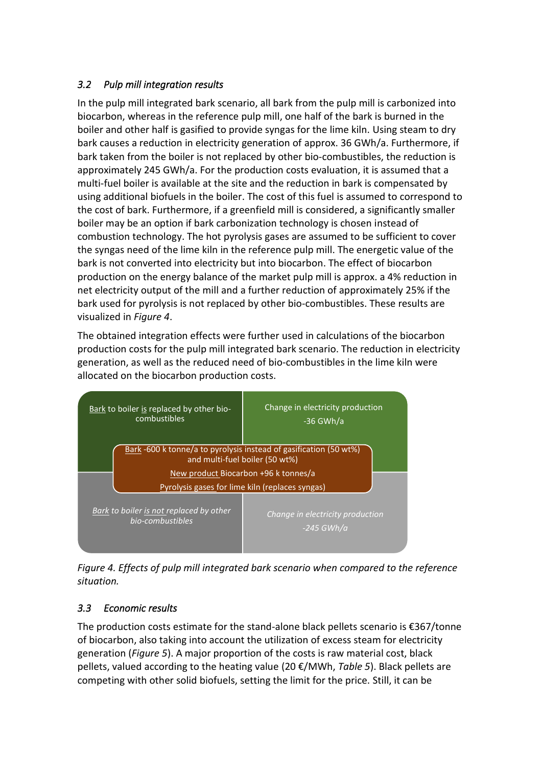# <span id="page-18-0"></span>*3.2 Pulp mill integration results*

In the pulp mill integrated bark scenario, all bark from the pulp mill is carbonized into biocarbon, whereas in the reference pulp mill, one half of the bark is burned in the boiler and other half is gasified to provide syngas for the lime kiln. Using steam to dry bark causes a reduction in electricity generation of approx. 36 GWh/a. Furthermore, if bark taken from the boiler is not replaced by other bio-combustibles, the reduction is approximately 245 GWh/a. For the production costs evaluation, it is assumed that a multi-fuel boiler is available at the site and the reduction in bark is compensated by using additional biofuels in the boiler. The cost of this fuel is assumed to correspond to the cost of bark. Furthermore, if a greenfield mill is considered, a significantly smaller boiler may be an option if bark carbonization technology is chosen instead of combustion technology. The hot pyrolysis gases are assumed to be sufficient to cover the syngas need of the lime kiln in the reference pulp mill. The energetic value of the bark is not converted into electricity but into biocarbon. The effect of biocarbon production on the energy balance of the market pulp mill is approx. a 4% reduction in net electricity output of the mill and a further reduction of approximately 25% if the bark used for pyrolysis is not replaced by other bio-combustibles. These results are visualized in *[Figure 4](#page-18-1)*.

The obtained integration effects were further used in calculations of the biocarbon production costs for the pulp mill integrated bark scenario. The reduction in electricity generation, as well as the reduced need of bio-combustibles in the lime kiln were allocated on the biocarbon production costs.



<span id="page-18-1"></span>*Figure 4. Effects of pulp mill integrated bark scenario when compared to the reference situation.*

# *3.3 Economic results*

The production costs estimate for the stand-alone black pellets scenario is €367/tonne of biocarbon, also taking into account the utilization of excess steam for electricity generation (*[Figure 5](#page-19-0)*). A major proportion of the costs is raw material cost, black pellets, valued according to the heating value (20 €/MWh, *[Table 5](#page-15-0)*). Black pellets are competing with other solid biofuels, setting the limit for the price. Still, it can be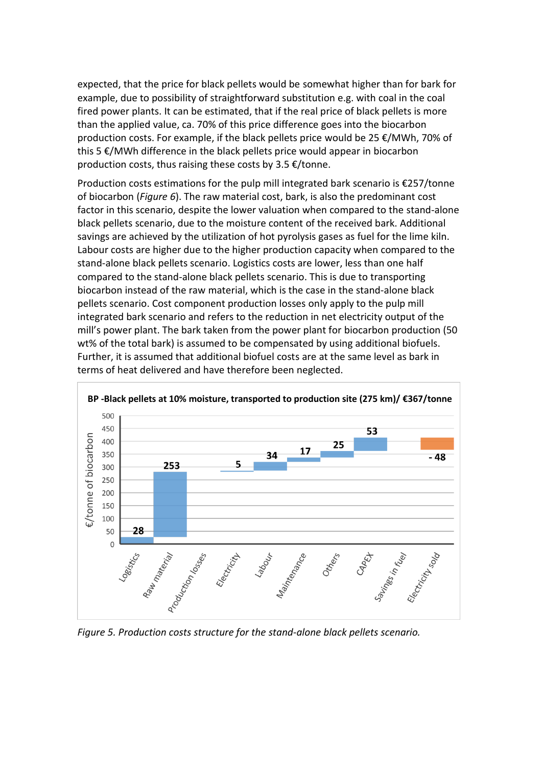expected, that the price for black pellets would be somewhat higher than for bark for example, due to possibility of straightforward substitution e.g. with coal in the coal fired power plants. It can be estimated, that if the real price of black pellets is more than the applied value, ca. 70% of this price difference goes into the biocarbon production costs. For example, if the black pellets price would be 25 €/MWh, 70% of this 5 €/MWh difference in the black pellets price would appear in biocarbon production costs, thus raising these costs by 3.5 €/tonne.

Production costs estimations for the pulp mill integrated bark scenario is €257/tonne of biocarbon (*[Figure 6](#page-20-0)*). The raw material cost, bark, is also the predominant cost factor in this scenario, despite the lower valuation when compared to the stand-alone black pellets scenario, due to the moisture content of the received bark. Additional savings are achieved by the utilization of hot pyrolysis gases as fuel for the lime kiln. Labour costs are higher due to the higher production capacity when compared to the stand-alone black pellets scenario. Logistics costs are lower, less than one half compared to the stand-alone black pellets scenario. This is due to transporting biocarbon instead of the raw material, which is the case in the stand-alone black pellets scenario. Cost component production losses only apply to the pulp mill integrated bark scenario and refers to the reduction in net electricity output of the mill's power plant. The bark taken from the power plant for biocarbon production (50 wt% of the total bark) is assumed to be compensated by using additional biofuels. Further, it is assumed that additional biofuel costs are at the same level as bark in terms of heat delivered and have therefore been neglected.



<span id="page-19-0"></span>*Figure 5. Production costs structure for the stand-alone black pellets scenario.*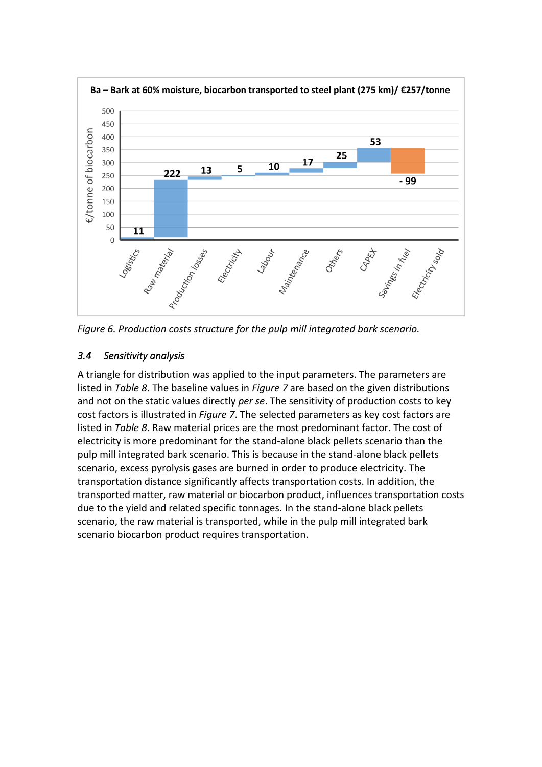

<span id="page-20-0"></span>

# *3.4 Sensitivity analysis*

A triangle for distribution was applied to the input parameters. The parameters are listed in *[Table 8](#page-21-0)*. The baseline values in *[Figure 7](#page-22-0)* are based on the given distributions and not on the static values directly *per se*. The sensitivity of production costs to key cost factors is illustrated in *[Figure 7](#page-22-0)*. The selected parameters as key cost factors are listed in *[Table 8](#page-21-0)*. Raw material prices are the most predominant factor. The cost of electricity is more predominant for the stand-alone black pellets scenario than the pulp mill integrated bark scenario. This is because in the stand-alone black pellets scenario, excess pyrolysis gases are burned in order to produce electricity. The transportation distance significantly affects transportation costs. In addition, the transported matter, raw material or biocarbon product, influences transportation costs due to the yield and related specific tonnages. In the stand-alone black pellets scenario, the raw material is transported, while in the pulp mill integrated bark scenario biocarbon product requires transportation.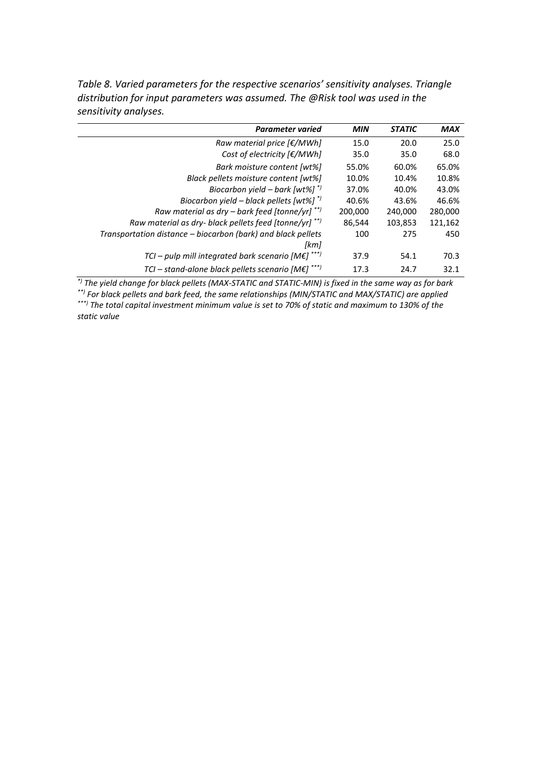| <b>Parameter varied</b>                                      | <b>MIN</b> | <b>STATIC</b> | <b>MAX</b> |
|--------------------------------------------------------------|------------|---------------|------------|
| Raw material price $\mathcal{F}/MWh$                         | 15.0       | 20.0          | 25.0       |
| Cost of electricity $[\epsilon/MWh]$                         | 35.0       | 35.0          | 68.0       |
| Bark moisture content [wt%]                                  | 55.0%      | 60.0%         | 65.0%      |
| Black pellets moisture content [wt%]                         | 10.0%      | 10.4%         | 10.8%      |
| Biocarbon yield – bark [wt%] $*$ )                           | 37.0%      | 40.0%         | 43.0%      |
| Biocarbon yield – black pellets [wt%] $*$                    | 40.6%      | 43.6%         | 46.6%      |
| Raw material as dry – bark feed [tonne/yr] **)               | 200,000    | 240.000       | 280,000    |
| Raw material as dry- black pellets feed [tonne/yr] **)       | 86,544     | 103,853       | 121,162    |
| Transportation distance - biocarbon (bark) and black pellets | 100        | 275           | 450        |
| [km]                                                         |            |               |            |
| TCI - pulp mill integrated bark scenario [ $M \epsilon$ ]    | 37.9       | 54.1          | 70.3       |

<span id="page-21-0"></span>*Table 8. Varied parameters for the respective scenarios' sensitivity analyses. Triangle distribution for input parameters was assumed. The @Risk tool was used in the sensitivity analyses.*

*\*) The yield change for black pellets (MAX-STATIC and STATIC-MIN) is fixed in the same way as for bark \*\*) For black pellets and bark feed, the same relationships (MIN/STATIC and MAX/STATIC) are applied \*\*\*) The total capital investment minimum value is set to 70% of static and maximum to 130% of the* 

*TCI – stand-alone black pellets scenario [M€] \*\*\*)* 17.3 24.7 32.1

*static value*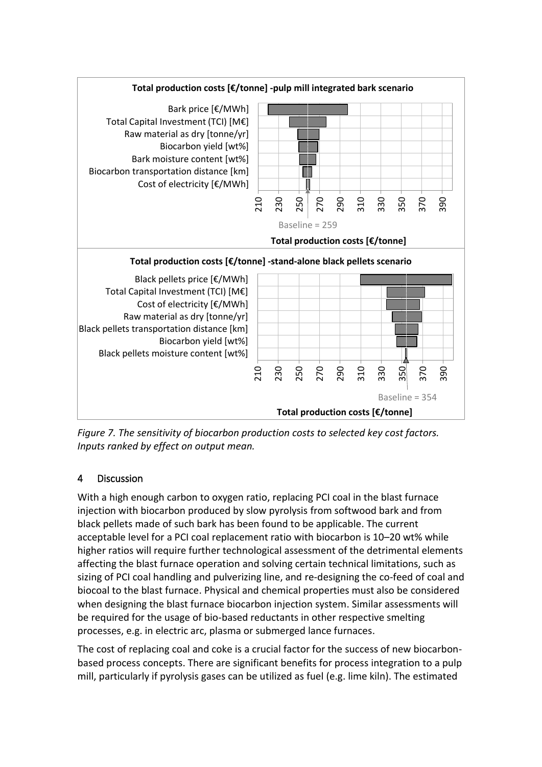

<span id="page-22-0"></span>*Figure 7. The sensitivity of biocarbon production costs to selected key cost factors. Inputs ranked by effect on output mean.*

# 4 Discussion

With a high enough carbon to oxygen ratio, replacing PCI coal in the blast furnace injection with biocarbon produced by slow pyrolysis from softwood bark and from black pellets made of such bark has been found to be applicable. The current acceptable level for a PCI coal replacement ratio with biocarbon is 10–20 wt% while higher ratios will require further technological assessment of the detrimental elements affecting the blast furnace operation and solving certain technical limitations, such as sizing of PCI coal handling and pulverizing line, and re-designing the co-feed of coal and biocoal to the blast furnace. Physical and chemical properties must also be considered when designing the blast furnace biocarbon injection system. Similar assessments will be required for the usage of bio-based reductants in other respective smelting processes, e.g. in electric arc, plasma or submerged lance furnaces.

The cost of replacing coal and coke is a crucial factor for the success of new biocarbonbased process concepts. There are significant benefits for process integration to a pulp mill, particularly if pyrolysis gases can be utilized as fuel (e.g. lime kiln). The estimated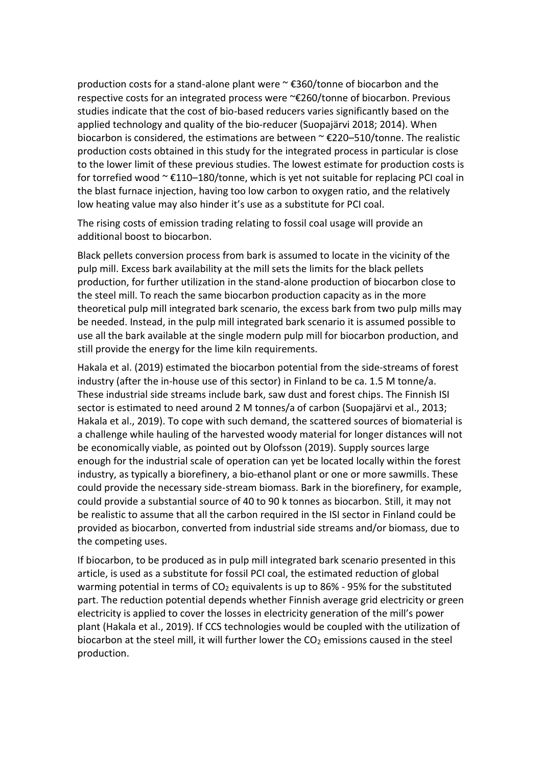production costs for a stand-alone plant were ~ €360/tonne of biocarbon and the respective costs for an integrated process were ~€260/tonne of biocarbon. Previous studies indicate that the cost of bio-based reducers varies significantly based on the applied technology and quality of the bio-reducer (Suopajärvi 2018; 2014). When biocarbon is considered, the estimations are between ~ €220–510/tonne. The realistic production costs obtained in this study for the integrated process in particular is close to the lower limit of these previous studies. The lowest estimate for production costs is for torrefied wood  $\sim \text{\textsterling}110-180$ /tonne, which is yet not suitable for replacing PCI coal in the blast furnace injection, having too low carbon to oxygen ratio, and the relatively low heating value may also hinder it's use as a substitute for PCI coal.

The rising costs of emission trading relating to fossil coal usage will provide an additional boost to biocarbon.

Black pellets conversion process from bark is assumed to locate in the vicinity of the pulp mill. Excess bark availability at the mill sets the limits for the black pellets production, for further utilization in the stand-alone production of biocarbon close to the steel mill. To reach the same biocarbon production capacity as in the more theoretical pulp mill integrated bark scenario, the excess bark from two pulp mills may be needed. Instead, in the pulp mill integrated bark scenario it is assumed possible to use all the bark available at the single modern pulp mill for biocarbon production, and still provide the energy for the lime kiln requirements.

Hakala et al. (2019) estimated the biocarbon potential from the side-streams of forest industry (after the in-house use of this sector) in Finland to be ca. 1.5 M tonne/a. These industrial side streams include bark, saw dust and forest chips. The Finnish ISI sector is estimated to need around 2 M tonnes/a of carbon (Suopajärvi et al., 2013; Hakala et al., 2019). To cope with such demand, the scattered sources of biomaterial is a challenge while hauling of the harvested woody material for longer distances will not be economically viable, as pointed out by Olofsson (2019). Supply sources large enough for the industrial scale of operation can yet be located locally within the forest industry, as typically a biorefinery, a bio-ethanol plant or one or more sawmills. These could provide the necessary side-stream biomass. Bark in the biorefinery, for example, could provide a substantial source of 40 to 90 k tonnes as biocarbon. Still, it may not be realistic to assume that all the carbon required in the ISI sector in Finland could be provided as biocarbon, converted from industrial side streams and/or biomass, due to the competing uses.

If biocarbon, to be produced as in pulp mill integrated bark scenario presented in this article, is used as a substitute for fossil PCI coal, the estimated reduction of global warming potential in terms of  $CO<sub>2</sub>$  equivalents is up to 86% - 95% for the substituted part. The reduction potential depends whether Finnish average grid electricity or green electricity is applied to cover the losses in electricity generation of the mill's power plant (Hakala et al., 2019). If CCS technologies would be coupled with the utilization of biocarbon at the steel mill, it will further lower the  $CO<sub>2</sub>$  emissions caused in the steel production.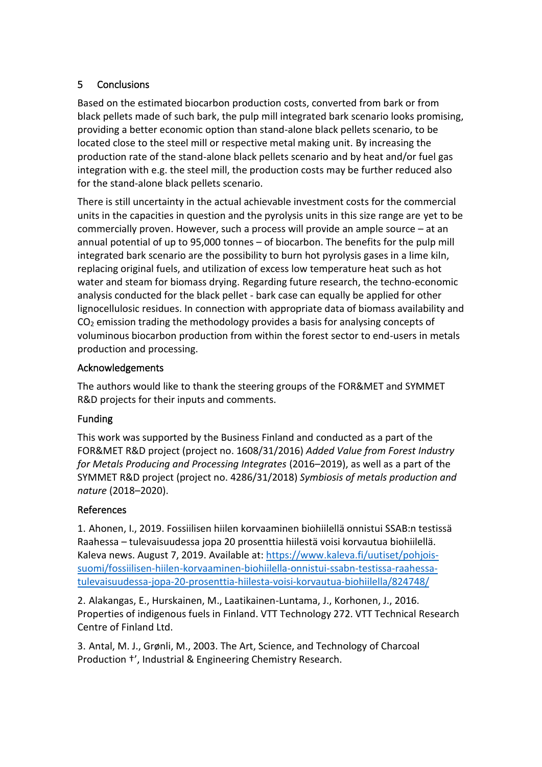## 5 Conclusions

Based on the estimated biocarbon production costs, converted from bark or from black pellets made of such bark, the pulp mill integrated bark scenario looks promising, providing a better economic option than stand-alone black pellets scenario, to be located close to the steel mill or respective metal making unit. By increasing the production rate of the stand-alone black pellets scenario and by heat and/or fuel gas integration with e.g. the steel mill, the production costs may be further reduced also for the stand-alone black pellets scenario.

There is still uncertainty in the actual achievable investment costs for the commercial units in the capacities in question and the pyrolysis units in this size range are yet to be commercially proven. However, such a process will provide an ample source – at an annual potential of up to 95,000 tonnes – of biocarbon. The benefits for the pulp mill integrated bark scenario are the possibility to burn hot pyrolysis gases in a lime kiln, replacing original fuels, and utilization of excess low temperature heat such as hot water and steam for biomass drying. Regarding future research, the techno-economic analysis conducted for the black pellet - bark case can equally be applied for other lignocellulosic residues. In connection with appropriate data of biomass availability and  $CO<sub>2</sub>$  emission trading the methodology provides a basis for analysing concepts of voluminous biocarbon production from within the forest sector to end-users in metals production and processing.

#### Acknowledgements

The authors would like to thank the steering groups of the FOR&MET and SYMMET R&D projects for their inputs and comments.

#### Funding

This work was supported by the Business Finland and conducted as a part of the FOR&MET R&D project (project no. 1608/31/2016) *Added Value from Forest Industry for Metals Producing and Processing Integrates* (2016–2019), as well as a part of the SYMMET R&D project (project no. 4286/31/2018) *Symbiosis of metals production and nature* (2018–2020).

#### References

1. Ahonen, I., 2019. Fossiilisen hiilen korvaaminen biohiilellä onnistui SSAB:n testissä Raahessa – tulevaisuudessa jopa 20 prosenttia hiilestä voisi korvautua biohiilellä. Kaleva news. August 7, 2019. Available at: [https://www.kaleva.fi/uutiset/pohjois](https://www.kaleva.fi/uutiset/pohjois-suomi/fossiilisen-hiilen-korvaaminen-biohiilella-onnistui-ssabn-testissa-raahessa-tulevaisuudessa-jopa-20-prosenttia-hiilesta-voisi-korvautua-biohiilella/824748/)[suomi/fossiilisen-hiilen-korvaaminen-biohiilella-onnistui-ssabn-testissa-raahessa](https://www.kaleva.fi/uutiset/pohjois-suomi/fossiilisen-hiilen-korvaaminen-biohiilella-onnistui-ssabn-testissa-raahessa-tulevaisuudessa-jopa-20-prosenttia-hiilesta-voisi-korvautua-biohiilella/824748/)[tulevaisuudessa-jopa-20-prosenttia-hiilesta-voisi-korvautua-biohiilella/824748/](https://www.kaleva.fi/uutiset/pohjois-suomi/fossiilisen-hiilen-korvaaminen-biohiilella-onnistui-ssabn-testissa-raahessa-tulevaisuudessa-jopa-20-prosenttia-hiilesta-voisi-korvautua-biohiilella/824748/)

2. Alakangas, E., Hurskainen, M., Laatikainen-Luntama, J., Korhonen, J., 2016. Properties of indigenous fuels in Finland. VTT Technology 272. VTT Technical Research Centre of Finland Ltd.

3. Antal, M. J., Grønli, M., 2003. The Art, Science, and Technology of Charcoal Production †', Industrial & Engineering Chemistry Research.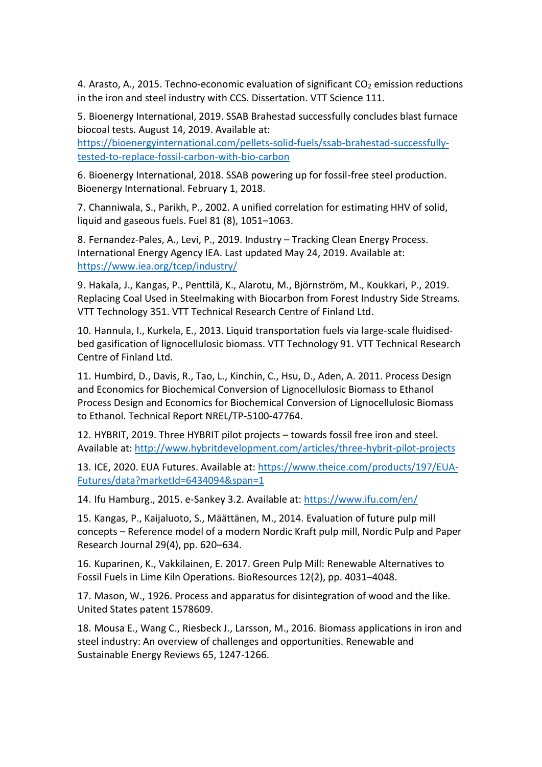4. Arasto, A., 2015. Techno-economic evaluation of significant  $CO<sub>2</sub>$  emission reductions in the iron and steel industry with CCS. Dissertation. VTT Science 111.

5. Bioenergy International, 2019. SSAB Brahestad successfully concludes blast furnace biocoal tests. August 14, 2019. Available at:

[https://bioenergyinternational.com/pellets-solid-fuels/ssab-brahestad-successfully](https://bioenergyinternational.com/pellets-solid-fuels/ssab-brahestad-successfully-tested-to-replace-fossil-carbon-with-bio-carbon)[tested-to-replace-fossil-carbon-with-bio-carbon](https://bioenergyinternational.com/pellets-solid-fuels/ssab-brahestad-successfully-tested-to-replace-fossil-carbon-with-bio-carbon)

6. Bioenergy International, 2018. SSAB powering up for fossil-free steel production. Bioenergy International. February 1, 2018.

7. Channiwala, S., Parikh, P., 2002. A unified correlation for estimating HHV of solid, liquid and gaseous fuels. Fuel 81 (8), 1051–1063.

8. Fernandez-Pales, A., Levi, P., 2019. Industry – Tracking Clean Energy Process. International Energy Agency IEA. Last updated May 24, 2019. Available at: <https://www.iea.org/tcep/industry/>

9. Hakala, J., Kangas, P., Penttilä, K., Alarotu, M., Björnström, M., Koukkari, P., 2019. Replacing Coal Used in Steelmaking with Biocarbon from Forest Industry Side Streams. VTT Technology 351. VTT Technical Research Centre of Finland Ltd.

10. Hannula, I., Kurkela, E., 2013. Liquid transportation fuels via large-scale fluidisedbed gasification of lignocellulosic biomass. VTT Technology 91. VTT Technical Research Centre of Finland Ltd.

11. Humbird, D., Davis, R., Tao, L., Kinchin, C., Hsu, D., Aden, A. 2011. Process Design and Economics for Biochemical Conversion of Lignocellulosic Biomass to Ethanol Process Design and Economics for Biochemical Conversion of Lignocellulosic Biomass to Ethanol. Technical Report NREL/TP-5100-47764.

12. HYBRIT, 2019. Three HYBRIT pilot projects – towards fossil free iron and steel. Available at:<http://www.hybritdevelopment.com/articles/three-hybrit-pilot-projects>

13. ICE, 2020. EUA Futures. Available at: [https://www.theice.com/products/197/EUA-](https://www.theice.com/products/197/EUA-Futures/data?marketId=6434094&span=1)[Futures/data?marketId=6434094&span=1](https://www.theice.com/products/197/EUA-Futures/data?marketId=6434094&span=1)

14. Ifu Hamburg., 2015. e-Sankey 3.2. Available at:<https://www.ifu.com/en/>

15. Kangas, P., Kaijaluoto, S., Määttänen, M., 2014. Evaluation of future pulp mill concepts – Reference model of a modern Nordic Kraft pulp mill, Nordic Pulp and Paper Research Journal 29(4), pp. 620–634.

16. Kuparinen, K., Vakkilainen, E. 2017. Green Pulp Mill: Renewable Alternatives to Fossil Fuels in Lime Kiln Operations. BioResources 12(2), pp. 4031–4048.

17. Mason, W., 1926. Process and apparatus for disintegration of wood and the like. United States patent 1578609.

18. Mousa E., Wang C., Riesbeck J., Larsson, M., 2016. Biomass applications in iron and steel industry: An overview of challenges and opportunities. Renewable and Sustainable Energy Reviews 65, 1247-1266.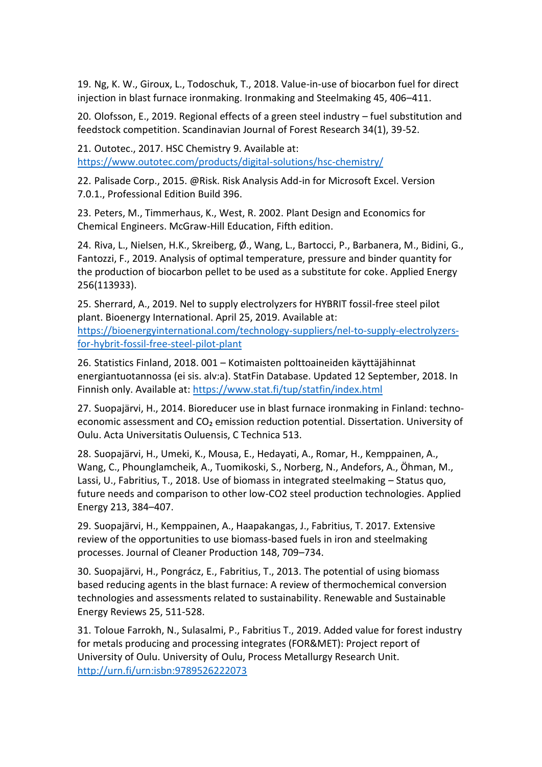19. Ng, K. W., Giroux, L., Todoschuk, T., 2018. Value-in-use of biocarbon fuel for direct injection in blast furnace ironmaking. Ironmaking and Steelmaking 45, 406–411.

20. Olofsson, E., 2019. Regional effects of a green steel industry – fuel substitution and feedstock competition. Scandinavian Journal of Forest Research 34(1), 39-52.

21. Outotec., 2017. HSC Chemistry 9. Available at: <https://www.outotec.com/products/digital-solutions/hsc-chemistry/>

22. Palisade Corp., 2015. @Risk. Risk Analysis Add-in for Microsoft Excel. Version 7.0.1., Professional Edition Build 396.

23. Peters, M., Timmerhaus, K., West, R. 2002. Plant Design and Economics for Chemical Engineers. McGraw-Hill Education, Fifth edition.

24. Riva, L., Nielsen, H.K., Skreiberg, Ø., Wang, L., Bartocci, P., Barbanera, M., Bidini, G., Fantozzi, F., 2019. Analysis of optimal temperature, pressure and binder quantity for the production of biocarbon pellet to be used as a substitute for coke. Applied Energy 256(113933).

25. Sherrard, A., 2019. Nel to supply electrolyzers for HYBRIT fossil-free steel pilot plant. Bioenergy International. April 25, 2019. Available at: [https://bioenergyinternational.com/technology-suppliers/nel-to-supply-electrolyzers](https://bioenergyinternational.com/technology-suppliers/nel-to-supply-electrolyzers-for-hybrit-fossil-free-steel-pilot-plant)[for-hybrit-fossil-free-steel-pilot-plant](https://bioenergyinternational.com/technology-suppliers/nel-to-supply-electrolyzers-for-hybrit-fossil-free-steel-pilot-plant)

26. Statistics Finland, 2018. 001 – Kotimaisten polttoaineiden käyttäjähinnat energiantuotannossa (ei sis. alv:a). StatFin Database. Updated 12 September, 2018. In Finnish only. Available at:<https://www.stat.fi/tup/statfin/index.html>

27. Suopajärvi, H., 2014. Bioreducer use in blast furnace ironmaking in Finland: technoeconomic assessment and CO<sub>2</sub> emission reduction potential. Dissertation. University of Oulu. Acta Universitatis Ouluensis, C Technica 513.

28. Suopajärvi, H., Umeki, K., Mousa, E., Hedayati, A., Romar, H., Kemppainen, A., Wang, C., Phounglamcheik, A., Tuomikoski, S., Norberg, N., Andefors, A., Öhman, M., Lassi, U., Fabritius, T., 2018. Use of biomass in integrated steelmaking – Status quo, future needs and comparison to other low-CO2 steel production technologies. Applied Energy 213, 384–407.

29. Suopajärvi, H., Kemppainen, A., Haapakangas, J., Fabritius, T. 2017. Extensive review of the opportunities to use biomass-based fuels in iron and steelmaking processes. Journal of Cleaner Production 148, 709–734.

30. Suopajärvi, H., Pongrácz, E., Fabritius, T., 2013. The potential of using biomass based reducing agents in the blast furnace: A review of thermochemical conversion technologies and assessments related to sustainability. Renewable and Sustainable Energy Reviews 25, 511-528.

31. Toloue Farrokh, N., Sulasalmi, P., Fabritius T., 2019. Added value for forest industry for metals producing and processing integrates (FOR&MET): Project report of University of Oulu. University of Oulu, Process Metallurgy Research Unit. <http://urn.fi/urn:isbn:9789526222073>